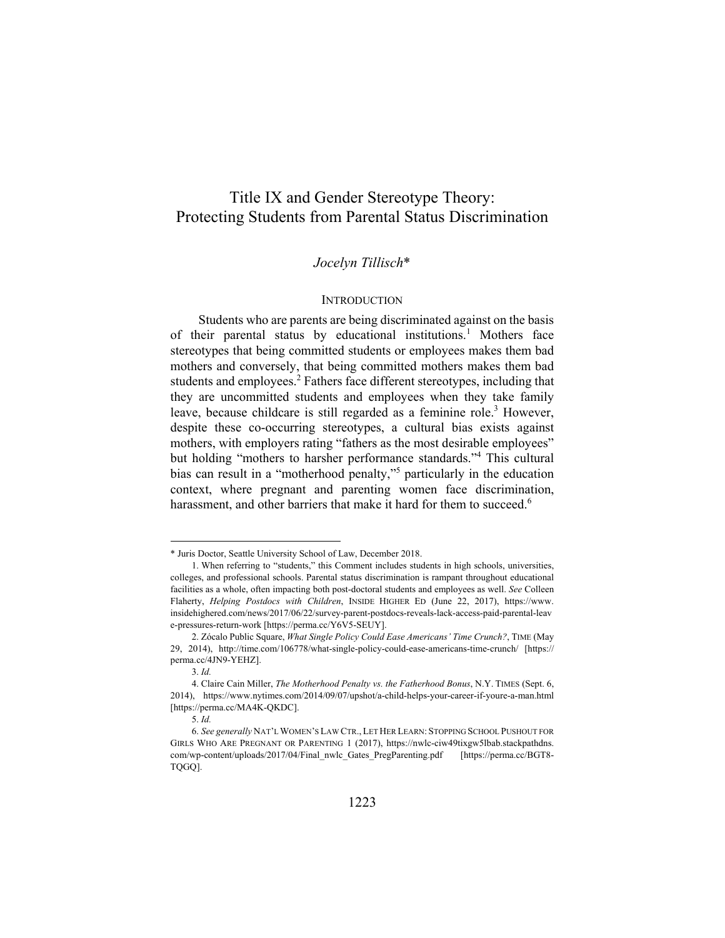# Title IX and Gender Stereotype Theory: Protecting Students from Parental Status Discrimination

# *Jocelyn Tillisch*\*

### **INTRODUCTION**

Students who are parents are being discriminated against on the basis of their parental status by educational institutions.<sup>1</sup> Mothers face stereotypes that being committed students or employees makes them bad mothers and conversely, that being committed mothers makes them bad students and employees.<sup>2</sup> Fathers face different stereotypes, including that they are uncommitted students and employees when they take family leave, because childcare is still regarded as a feminine role.<sup>3</sup> However, despite these co-occurring stereotypes, a cultural bias exists against mothers, with employers rating "fathers as the most desirable employees" but holding "mothers to harsher performance standards."4 This cultural bias can result in a "motherhood penalty,"5 particularly in the education context, where pregnant and parenting women face discrimination, harassment, and other barriers that make it hard for them to succeed.<sup>6</sup>

<sup>\*</sup> Juris Doctor, Seattle University School of Law, December 2018.

 <sup>1.</sup> When referring to "students," this Comment includes students in high schools, universities, colleges, and professional schools. Parental status discrimination is rampant throughout educational facilities as a whole, often impacting both post-doctoral students and employees as well. *See* Colleen Flaherty, *Helping Postdocs with Children*, INSIDE HIGHER ED (June 22, 2017), https://www. insidehighered.com/news/2017/06/22/survey-parent-postdocs-reveals-lack-access-paid-parental-leav e-pressures-return-work [https://perma.cc/Y6V5-SEUY].

 <sup>2.</sup> Zócalo Public Square, *What Single Policy Could Ease Americans' Time Crunch?*, TIME (May 29, 2014), http://time.com/106778/what-single-policy-could-ease-americans-time-crunch/ [https:// perma.cc/4JN9-YEHZ].

<sup>3.</sup> *Id.*

 <sup>4.</sup> Claire Cain Miller, *The Motherhood Penalty vs. the Fatherhood Bonus*, N.Y. TIMES (Sept. 6, 2014), https://www.nytimes.com/2014/09/07/upshot/a-child-helps-your-career-if-youre-a-man.html [https://perma.cc/MA4K-QKDC].

<sup>5.</sup> *Id.*

<sup>6.</sup> *See generally* NAT'L WOMEN'S LAW CTR., LET HER LEARN: STOPPING SCHOOL PUSHOUT FOR GIRLS WHO ARE PREGNANT OR PARENTING 1 (2017), https://nwlc-ciw49tixgw5lbab.stackpathdns. com/wp-content/uploads/2017/04/Final\_nwlc\_Gates\_PregParenting.pdf [https://perma.cc/BGT8- TQGQ].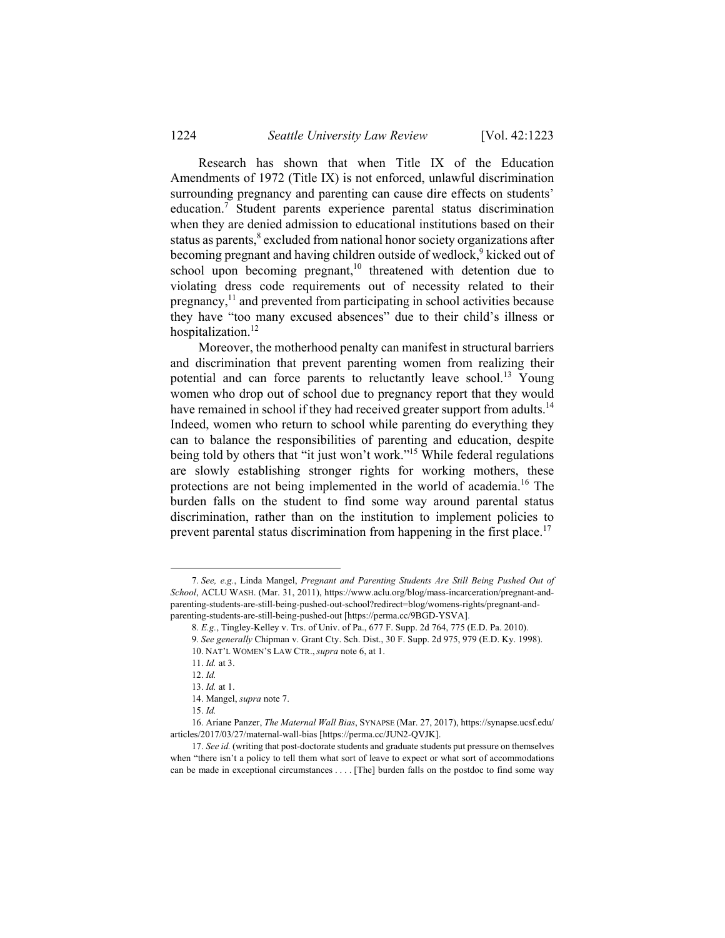Research has shown that when Title IX of the Education Amendments of 1972 (Title IX) is not enforced, unlawful discrimination surrounding pregnancy and parenting can cause dire effects on students' education.<sup>7</sup> Student parents experience parental status discrimination when they are denied admission to educational institutions based on their status as parents,<sup>8</sup> excluded from national honor society organizations after becoming pregnant and having children outside of wedlock,<sup>9</sup> kicked out of school upon becoming pregnant, $10$  threatened with detention due to violating dress code requirements out of necessity related to their pregnancy, $<sup>11</sup>$  and prevented from participating in school activities because</sup> they have "too many excused absences" due to their child's illness or hospitalization.<sup>12</sup>

Moreover, the motherhood penalty can manifest in structural barriers and discrimination that prevent parenting women from realizing their potential and can force parents to reluctantly leave school.<sup>13</sup> Young women who drop out of school due to pregnancy report that they would have remained in school if they had received greater support from adults.<sup>14</sup> Indeed, women who return to school while parenting do everything they can to balance the responsibilities of parenting and education, despite being told by others that "it just won't work."<sup>15</sup> While federal regulations are slowly establishing stronger rights for working mothers, these protections are not being implemented in the world of academia.16 The burden falls on the student to find some way around parental status discrimination, rather than on the institution to implement policies to prevent parental status discrimination from happening in the first place.<sup>17</sup>

 <sup>7.</sup> *See, e.g.*, Linda Mangel, *Pregnant and Parenting Students Are Still Being Pushed Out of School*, ACLU WASH. (Mar. 31, 2011), https://www.aclu.org/blog/mass-incarceration/pregnant-andparenting-students-are-still-being-pushed-out-school?redirect=blog/womens-rights/pregnant-andparenting-students-are-still-being-pushed-out [https://perma.cc/9BGD-YSVA].

<sup>8.</sup> *E.g.*, Tingley-Kelley v. Trs. of Univ. of Pa., 677 F. Supp. 2d 764, 775 (E.D. Pa. 2010).

<sup>9.</sup> *See generally* Chipman v. Grant Cty. Sch. Dist., 30 F. Supp. 2d 975, 979 (E.D. Ky. 1998). 10. NAT'L WOMEN'S LAW CTR., *supra* note 6, at 1.

<sup>11.</sup> *Id.* at 3.

<sup>12.</sup> *Id.*

<sup>13.</sup> *Id.* at 1.

 <sup>14.</sup> Mangel, *supra* note 7.

<sup>15.</sup> *Id.*

 <sup>16.</sup> Ariane Panzer, *The Maternal Wall Bias*, SYNAPSE (Mar. 27, 2017), https://synapse.ucsf.edu/ articles/2017/03/27/maternal-wall-bias [https://perma.cc/JUN2-QVJK].

<sup>17.</sup> *See id.* (writing that post-doctorate students and graduate students put pressure on themselves when "there isn't a policy to tell them what sort of leave to expect or what sort of accommodations can be made in exceptional circumstances . . . . [The] burden falls on the postdoc to find some way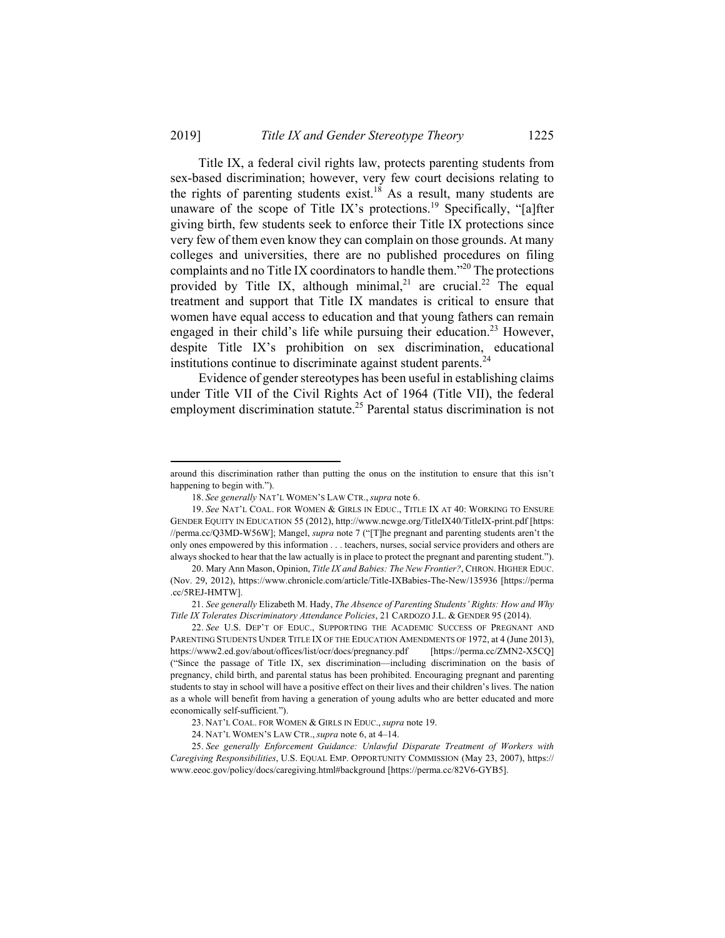Title IX, a federal civil rights law, protects parenting students from sex-based discrimination; however, very few court decisions relating to the rights of parenting students exist.<sup>18</sup> As a result, many students are unaware of the scope of Title IX's protections.<sup>19</sup> Specifically, "[a]fter giving birth, few students seek to enforce their Title IX protections since very few of them even know they can complain on those grounds. At many colleges and universities, there are no published procedures on filing complaints and no Title IX coordinators to handle them."<sup>20</sup> The protections provided by Title IX, although minimal,<sup>21</sup> are crucial.<sup>22</sup> The equal treatment and support that Title IX mandates is critical to ensure that women have equal access to education and that young fathers can remain engaged in their child's life while pursuing their education.<sup>23</sup> However, despite Title IX's prohibition on sex discrimination, educational institutions continue to discriminate against student parents. $^{24}$ 

Evidence of gender stereotypes has been useful in establishing claims under Title VII of the Civil Rights Act of 1964 (Title VII), the federal employment discrimination statute.<sup>25</sup> Parental status discrimination is not

around this discrimination rather than putting the onus on the institution to ensure that this isn't happening to begin with.").

 <sup>18.</sup> *See generally* NAT'L WOMEN'S LAW CTR., *supra* note 6.

<sup>19.</sup> *See* NAT'L COAL. FOR WOMEN & GIRLS IN EDUC., TITLE IX AT 40: WORKING TO ENSURE GENDER EQUITY IN EDUCATION 55 (2012), http://www.ncwge.org/TitleIX40/TitleIX-print.pdf [https: //perma.cc/Q3MD-W56W]; Mangel, *supra* note 7 ("[T]he pregnant and parenting students aren't the only ones empowered by this information . . . teachers, nurses, social service providers and others are always shocked to hear that the law actually is in place to protect the pregnant and parenting student.").

 <sup>20.</sup> Mary Ann Mason, Opinion, *Title IX and Babies: The New Frontier?*, CHRON. HIGHER EDUC. (Nov. 29, 2012), https://www.chronicle.com/article/Title-IXBabies-The-New/135936 [https://perma .cc/5REJ-HMTW].

<sup>21.</sup> *See generally* Elizabeth M. Hady, *The Absence of Parenting Students' Rights: How and Why Title IX Tolerates Discriminatory Attendance Policies*, 21 CARDOZO J.L. & GENDER 95 (2014).

 <sup>22.</sup> *See* U.S. DEP'T OF EDUC., SUPPORTING THE ACADEMIC SUCCESS OF PREGNANT AND PARENTING STUDENTS UNDER TITLE IX OF THE EDUCATION AMENDMENTS OF 1972, at 4 (June 2013), https://www2.ed.gov/about/offices/list/ocr/docs/pregnancy.pdf [https://perma.cc/ZMN2-X5CQ] ("Since the passage of Title IX, sex discrimination—including discrimination on the basis of pregnancy, child birth, and parental status has been prohibited. Encouraging pregnant and parenting students to stay in school will have a positive effect on their lives and their children's lives. The nation as a whole will benefit from having a generation of young adults who are better educated and more economically self-sufficient.").

 <sup>23.</sup> NAT'L COAL. FOR WOMEN & GIRLS IN EDUC., *supra* note 19.

 <sup>24.</sup> NAT'L WOMEN'S LAW CTR., *supra* note 6, at 4–14.

<sup>25.</sup> *See generally Enforcement Guidance: Unlawful Disparate Treatment of Workers with Caregiving Responsibilities*, U.S. EQUAL EMP. OPPORTUNITY COMMISSION (May 23, 2007), https:// www.eeoc.gov/policy/docs/caregiving.html#background [https://perma.cc/82V6-GYB5].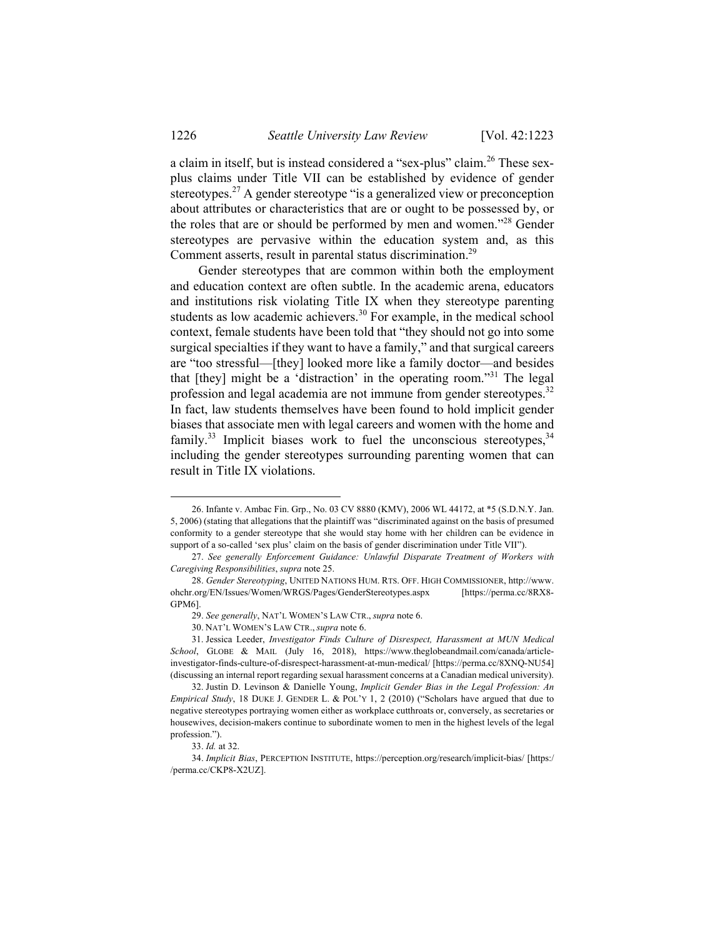a claim in itself, but is instead considered a "sex-plus" claim.<sup>26</sup> These sexplus claims under Title VII can be established by evidence of gender stereotypes.27 A gender stereotype "is a generalized view or preconception about attributes or characteristics that are or ought to be possessed by, or the roles that are or should be performed by men and women."28 Gender stereotypes are pervasive within the education system and, as this Comment asserts, result in parental status discrimination.<sup>29</sup>

Gender stereotypes that are common within both the employment and education context are often subtle. In the academic arena, educators and institutions risk violating Title IX when they stereotype parenting students as low academic achievers.<sup>30</sup> For example, in the medical school context, female students have been told that "they should not go into some surgical specialties if they want to have a family," and that surgical careers are "too stressful—[they] looked more like a family doctor—and besides that [they] might be a 'distraction' in the operating room."31 The legal profession and legal academia are not immune from gender stereotypes.<sup>32</sup> In fact, law students themselves have been found to hold implicit gender biases that associate men with legal careers and women with the home and family.<sup>33</sup> Implicit biases work to fuel the unconscious stereotypes.<sup>34</sup> including the gender stereotypes surrounding parenting women that can result in Title IX violations.

 <sup>26.</sup> Infante v. Ambac Fin. Grp., No. 03 CV 8880 (KMV), 2006 WL 44172, at \*5 (S.D.N.Y. Jan. 5, 2006) (stating that allegations that the plaintiff was "discriminated against on the basis of presumed conformity to a gender stereotype that she would stay home with her children can be evidence in support of a so-called 'sex plus' claim on the basis of gender discrimination under Title VII").

<sup>27.</sup> *See generally Enforcement Guidance: Unlawful Disparate Treatment of Workers with Caregiving Responsibilities*, *supra* note 25.

<sup>28.</sup> *Gender Stereotyping*, UNITED NATIONS HUM. RTS. OFF. HIGH COMMISSIONER, http://www. ohchr.org/EN/Issues/Women/WRGS/Pages/GenderStereotypes.aspx [https://perma.cc/8RX8- GPM6].

<sup>29.</sup> *See generally*, NAT'L WOMEN'S LAW CTR., *supra* note 6.

 <sup>30.</sup> NAT'L WOMEN'S LAW CTR., *supra* note 6.

 <sup>31.</sup> Jessica Leeder, *Investigator Finds Culture of Disrespect, Harassment at MUN Medical School*, GLOBE & MAIL (July 16, 2018), https://www.theglobeandmail.com/canada/articleinvestigator-finds-culture-of-disrespect-harassment-at-mun-medical/ [https://perma.cc/8XNQ-NU54] (discussing an internal report regarding sexual harassment concerns at a Canadian medical university).

 <sup>32.</sup> Justin D. Levinson & Danielle Young, *Implicit Gender Bias in the Legal Profession: An Empirical Study*, 18 DUKE J. GENDER L. & POL'Y 1, 2 (2010) ("Scholars have argued that due to negative stereotypes portraying women either as workplace cutthroats or, conversely, as secretaries or housewives, decision-makers continue to subordinate women to men in the highest levels of the legal profession.").

<sup>33.</sup> *Id.* at 32.

<sup>34.</sup> *Implicit Bias*, PERCEPTION INSTITUTE, https://perception.org/research/implicit-bias/ [https:/ /perma.cc/CKP8-X2UZ].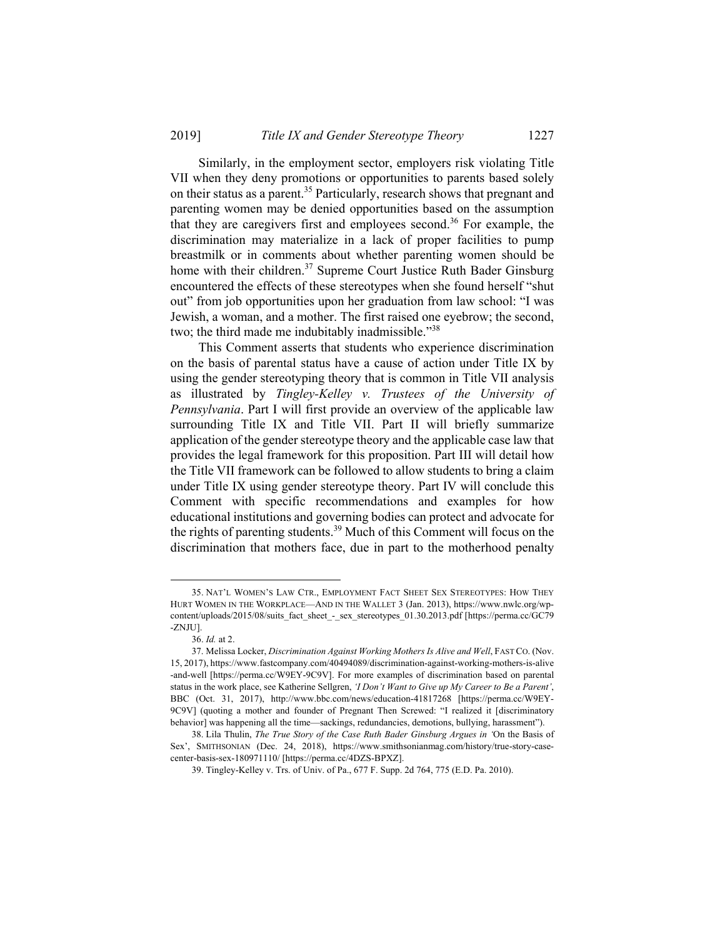Similarly, in the employment sector, employers risk violating Title VII when they deny promotions or opportunities to parents based solely on their status as a parent.<sup>35</sup> Particularly, research shows that pregnant and parenting women may be denied opportunities based on the assumption that they are caregivers first and employees second.<sup>36</sup> For example, the discrimination may materialize in a lack of proper facilities to pump breastmilk or in comments about whether parenting women should be home with their children.<sup>37</sup> Supreme Court Justice Ruth Bader Ginsburg encountered the effects of these stereotypes when she found herself "shut out" from job opportunities upon her graduation from law school: "I was Jewish, a woman, and a mother. The first raised one eyebrow; the second, two; the third made me indubitably inadmissible.<sup>738</sup>

This Comment asserts that students who experience discrimination on the basis of parental status have a cause of action under Title IX by using the gender stereotyping theory that is common in Title VII analysis as illustrated by *Tingley-Kelley v. Trustees of the University of Pennsylvania*. Part I will first provide an overview of the applicable law surrounding Title IX and Title VII. Part II will briefly summarize application of the gender stereotype theory and the applicable case law that provides the legal framework for this proposition. Part III will detail how the Title VII framework can be followed to allow students to bring a claim under Title IX using gender stereotype theory. Part IV will conclude this Comment with specific recommendations and examples for how educational institutions and governing bodies can protect and advocate for the rights of parenting students.<sup>39</sup> Much of this Comment will focus on the discrimination that mothers face, due in part to the motherhood penalty

-

 <sup>35.</sup> NAT'L WOMEN'S LAW CTR., EMPLOYMENT FACT SHEET SEX STEREOTYPES: HOW THEY HURT WOMEN IN THE WORKPLACE—AND IN THE WALLET 3 (Jan. 2013), https://www.nwlc.org/wpcontent/uploads/2015/08/suits fact sheet - sex stereotypes 01.30.2013.pdf [https://perma.cc/GC79 -ZNJU].

<sup>36.</sup> *Id.* at 2.

<sup>37.</sup> Melissa Locker, *Discrimination Against Working Mothers Is Alive and Well*, FAST CO. (Nov. 15, 2017), https://www.fastcompany.com/40494089/discrimination-against-working-mothers-is-alive -and-well [https://perma.cc/W9EY-9C9V]. For more examples of discrimination based on parental status in the work place, see Katherine Sellgren, *'I Don't Want to Give up My Career to Be a Parent'*, BBC (Oct. 31, 2017), http://www.bbc.com/news/education-41817268 [https://perma.cc/W9EY-9C9V] (quoting a mother and founder of Pregnant Then Screwed: "I realized it [discriminatory behavior] was happening all the time—sackings, redundancies, demotions, bullying, harassment").

 <sup>38.</sup> Lila Thulin, *The True Story of the Case Ruth Bader Ginsburg Argues in '*On the Basis of Sex', SMITHSONIAN (Dec. 24, 2018), https://www.smithsonianmag.com/history/true-story-casecenter-basis-sex-180971110/ [https://perma.cc/4DZS-BPXZ].

 <sup>39.</sup> Tingley-Kelley v. Trs. of Univ. of Pa., 677 F. Supp. 2d 764, 775 (E.D. Pa. 2010).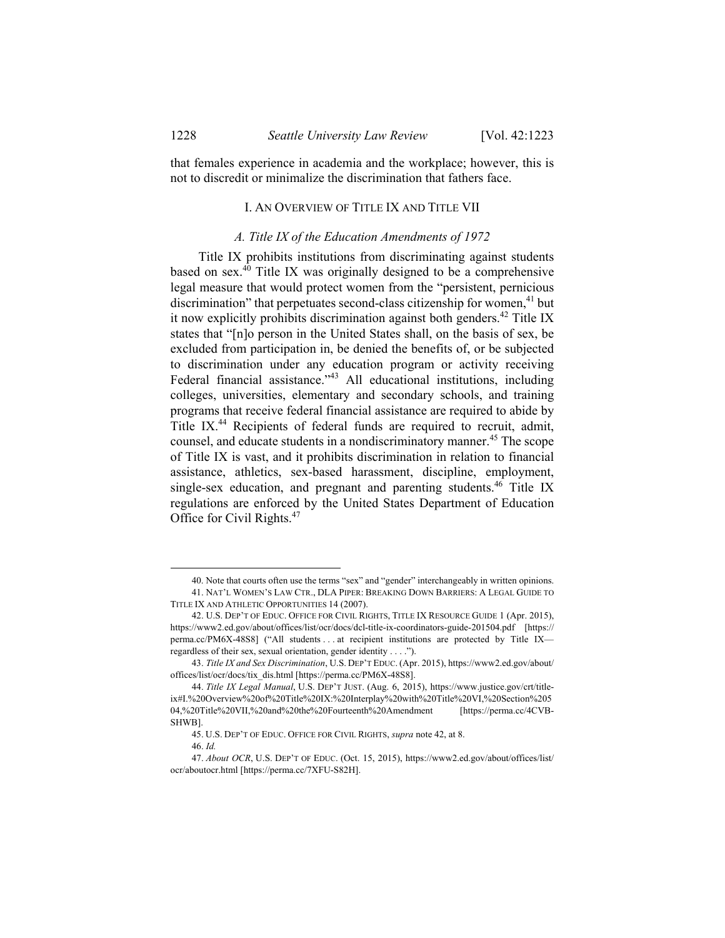that females experience in academia and the workplace; however, this is not to discredit or minimalize the discrimination that fathers face.

#### I. AN OVERVIEW OF TITLE IX AND TITLE VII

# *A. Title IX of the Education Amendments of 1972*

Title IX prohibits institutions from discriminating against students based on sex. $40$  Title IX was originally designed to be a comprehensive legal measure that would protect women from the "persistent, pernicious discrimination" that perpetuates second-class citizenship for women.<sup>41</sup> but it now explicitly prohibits discrimination against both genders.<sup>42</sup> Title IX states that "[n]o person in the United States shall, on the basis of sex, be excluded from participation in, be denied the benefits of, or be subjected to discrimination under any education program or activity receiving Federal financial assistance.<sup>743</sup> All educational institutions, including colleges, universities, elementary and secondary schools, and training programs that receive federal financial assistance are required to abide by Title IX<sup>44</sup> Recipients of federal funds are required to recruit, admit, counsel, and educate students in a nondiscriminatory manner.<sup>45</sup> The scope of Title IX is vast, and it prohibits discrimination in relation to financial assistance, athletics, sex-based harassment, discipline, employment, single-sex education, and pregnant and parenting students.  $46$  Title IX regulations are enforced by the United States Department of Education Office for Civil Rights.47

 <sup>40.</sup> Note that courts often use the terms "sex" and "gender" interchangeably in written opinions. 41. NAT'L WOMEN'S LAW CTR., DLA PIPER: BREAKING DOWN BARRIERS: A LEGAL GUIDE TO TITLE IX AND ATHLETIC OPPORTUNITIES 14 (2007).

 <sup>42.</sup> U.S. DEP'T OF EDUC. OFFICE FOR CIVIL RIGHTS, TITLE IX RESOURCE GUIDE 1 (Apr. 2015), https://www2.ed.gov/about/offices/list/ocr/docs/dcl-title-ix-coordinators-guide-201504.pdf [https:// perma.cc/PM6X-48S8] ("All students . . . at recipient institutions are protected by Title IX regardless of their sex, sexual orientation, gender identity . . . .").

<sup>43.</sup> *Title IX and Sex Discrimination*, U.S. DEP'T EDUC. (Apr. 2015), https://www2.ed.gov/about/ offices/list/ocr/docs/tix\_dis.html [https://perma.cc/PM6X-48S8].

<sup>44.</sup> *Title IX Legal Manual*, U.S. DEP'T JUST. (Aug. 6, 2015), https://www.justice.gov/crt/titleix#I.%20Overview%20of%20Title%20IX:%20Interplay%20with%20Title%20VI,%20Section%205 04,%20Title%20VII,%20and%20the%20Fourteenth%20Amendment [https://perma.cc/4CVB-SHWB].

 <sup>45.</sup> U.S. DEP'T OF EDUC. OFFICE FOR CIVIL RIGHTS, *supra* note 42, at 8.

<sup>46.</sup> *Id.*

<sup>47.</sup> *About OCR*, U.S. DEP'T OF EDUC. (Oct. 15, 2015), https://www2.ed.gov/about/offices/list/ ocr/aboutocr.html [https://perma.cc/7XFU-S82H].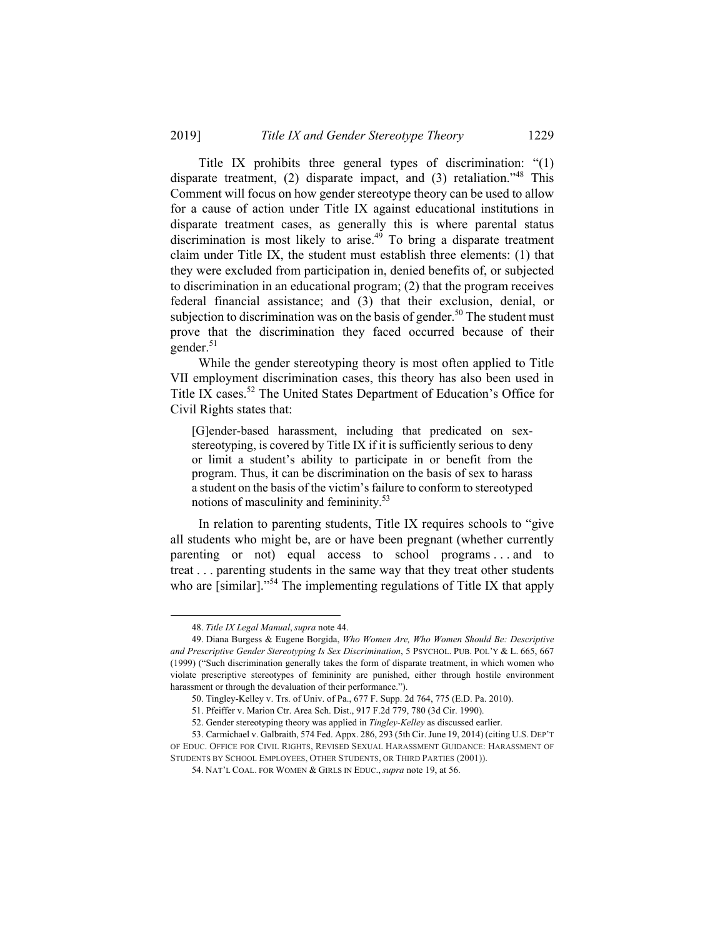Title IX prohibits three general types of discrimination: "(1) disparate treatment, (2) disparate impact, and (3) retaliation."48 This Comment will focus on how gender stereotype theory can be used to allow for a cause of action under Title IX against educational institutions in disparate treatment cases, as generally this is where parental status discrimination is most likely to arise.<sup>49</sup> To bring a disparate treatment claim under Title IX, the student must establish three elements: (1) that they were excluded from participation in, denied benefits of, or subjected to discrimination in an educational program; (2) that the program receives federal financial assistance; and (3) that their exclusion, denial, or subjection to discrimination was on the basis of gender.<sup>50</sup> The student must prove that the discrimination they faced occurred because of their gender. $51$ 

While the gender stereotyping theory is most often applied to Title VII employment discrimination cases, this theory has also been used in Title IX cases.<sup>52</sup> The United States Department of Education's Office for Civil Rights states that:

[G]ender-based harassment, including that predicated on sexstereotyping, is covered by Title IX if it is sufficiently serious to deny or limit a student's ability to participate in or benefit from the program. Thus, it can be discrimination on the basis of sex to harass a student on the basis of the victim's failure to conform to stereotyped notions of masculinity and femininity.53

In relation to parenting students, Title IX requires schools to "give all students who might be, are or have been pregnant (whether currently parenting or not) equal access to school programs . . . and to treat . . . parenting students in the same way that they treat other students who are [similar]."<sup>54</sup> The implementing regulations of Title IX that apply

-

 <sup>48.</sup> *Title IX Legal Manual*, *supra* note 44.

 <sup>49.</sup> Diana Burgess & Eugene Borgida, *Who Women Are, Who Women Should Be: Descriptive and Prescriptive Gender Stereotyping Is Sex Discrimination*, 5 PSYCHOL. PUB. POL'Y & L. 665, 667 (1999) ("Such discrimination generally takes the form of disparate treatment, in which women who violate prescriptive stereotypes of femininity are punished, either through hostile environment harassment or through the devaluation of their performance.").

 <sup>50.</sup> Tingley-Kelley v. Trs. of Univ. of Pa., 677 F. Supp. 2d 764, 775 (E.D. Pa. 2010).

 <sup>51.</sup> Pfeiffer v. Marion Ctr. Area Sch. Dist., 917 F.2d 779, 780 (3d Cir. 1990).

 <sup>52.</sup> Gender stereotyping theory was applied in *Tingley-Kelley* as discussed earlier.

 <sup>53.</sup> Carmichael v. Galbraith, 574 Fed. Appx. 286, 293 (5th Cir. June 19, 2014) (citing U.S. DEP'T OF EDUC. OFFICE FOR CIVIL RIGHTS, REVISED SEXUAL HARASSMENT GUIDANCE: HARASSMENT OF STUDENTS BY SCHOOL EMPLOYEES, OTHER STUDENTS, OR THIRD PARTIES (2001)).

 <sup>54.</sup> NAT'L COAL. FOR WOMEN & GIRLS IN EDUC., *supra* note 19, at 56.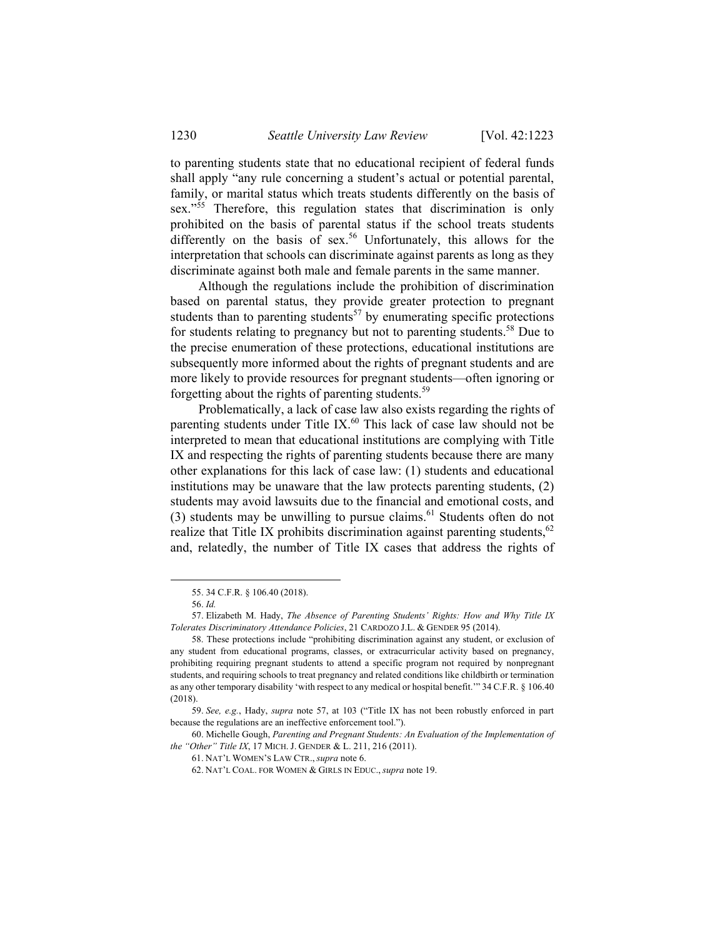to parenting students state that no educational recipient of federal funds shall apply "any rule concerning a student's actual or potential parental, family, or marital status which treats students differently on the basis of sex."<sup>55</sup> Therefore, this regulation states that discrimination is only prohibited on the basis of parental status if the school treats students differently on the basis of sex.<sup>56</sup> Unfortunately, this allows for the interpretation that schools can discriminate against parents as long as they discriminate against both male and female parents in the same manner.

Although the regulations include the prohibition of discrimination based on parental status, they provide greater protection to pregnant students than to parenting students<sup>57</sup> by enumerating specific protections for students relating to pregnancy but not to parenting students.<sup>58</sup> Due to the precise enumeration of these protections, educational institutions are subsequently more informed about the rights of pregnant students and are more likely to provide resources for pregnant students—often ignoring or forgetting about the rights of parenting students.59

Problematically, a lack of case law also exists regarding the rights of parenting students under Title IX.<sup>60</sup> This lack of case law should not be interpreted to mean that educational institutions are complying with Title IX and respecting the rights of parenting students because there are many other explanations for this lack of case law: (1) students and educational institutions may be unaware that the law protects parenting students, (2) students may avoid lawsuits due to the financial and emotional costs, and (3) students may be unwilling to pursue claims.<sup>61</sup> Students often do not realize that Title IX prohibits discrimination against parenting students,<sup>62</sup> and, relatedly, the number of Title IX cases that address the rights of

-

 <sup>55. 34</sup> C.F.R. § 106.40 (2018).

<sup>56.</sup> *Id.*

 <sup>57.</sup> Elizabeth M. Hady, *The Absence of Parenting Students' Rights: How and Why Title IX Tolerates Discriminatory Attendance Policies*, 21 CARDOZO J.L. & GENDER 95 (2014).

 <sup>58.</sup> These protections include "prohibiting discrimination against any student, or exclusion of any student from educational programs, classes, or extracurricular activity based on pregnancy, prohibiting requiring pregnant students to attend a specific program not required by nonpregnant students, and requiring schools to treat pregnancy and related conditions like childbirth or termination as any other temporary disability 'with respect to any medical or hospital benefit.'" 34 C.F.R. § 106.40 (2018).

<sup>59.</sup> *See, e.g.*, Hady, *supra* note 57, at 103 ("Title IX has not been robustly enforced in part because the regulations are an ineffective enforcement tool.").

 <sup>60.</sup> Michelle Gough, *Parenting and Pregnant Students: An Evaluation of the Implementation of the "Other" Title IX*, 17 MICH. J. GENDER & L. 211, 216 (2011).

 <sup>61.</sup> NAT'L WOMEN'S LAW CTR., *supra* note 6.

 <sup>62.</sup> NAT'L COAL. FOR WOMEN & GIRLS IN EDUC., *supra* note 19.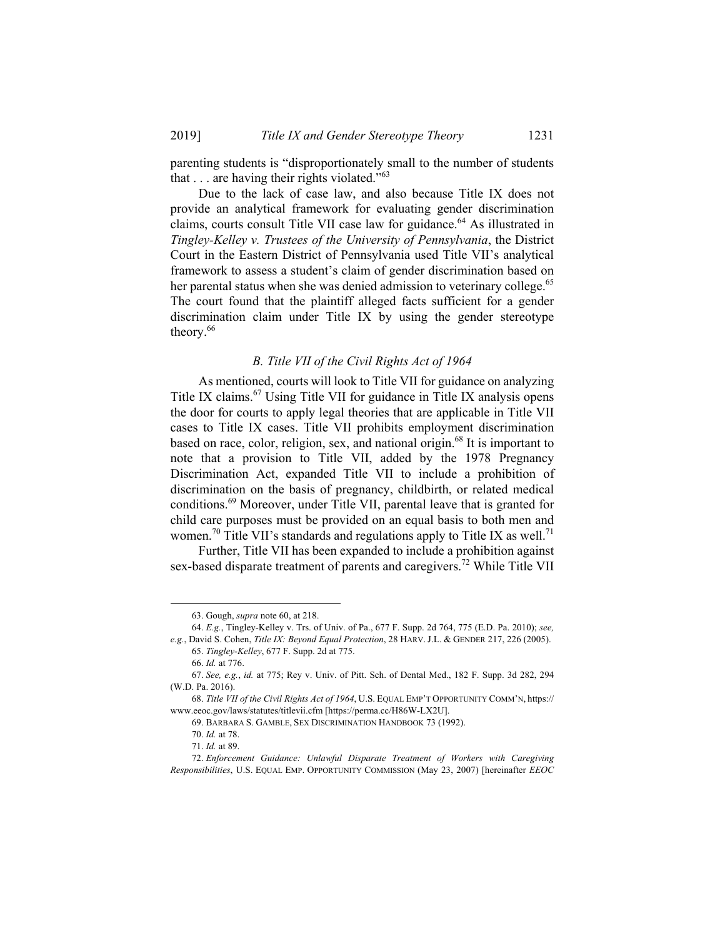parenting students is "disproportionately small to the number of students that  $\ldots$  are having their rights violated."<sup>63</sup>

Due to the lack of case law, and also because Title IX does not provide an analytical framework for evaluating gender discrimination claims, courts consult Title VII case law for guidance.<sup>64</sup> As illustrated in *Tingley-Kelley v. Trustees of the University of Pennsylvania*, the District Court in the Eastern District of Pennsylvania used Title VII's analytical framework to assess a student's claim of gender discrimination based on her parental status when she was denied admission to veterinary college.<sup>65</sup> The court found that the plaintiff alleged facts sufficient for a gender discrimination claim under Title IX by using the gender stereotype theory.<sup>66</sup>

## *B. Title VII of the Civil Rights Act of 1964*

As mentioned, courts will look to Title VII for guidance on analyzing Title IX claims.<sup>67</sup> Using Title VII for guidance in Title IX analysis opens the door for courts to apply legal theories that are applicable in Title VII cases to Title IX cases. Title VII prohibits employment discrimination based on race, color, religion, sex, and national origin.<sup>68</sup> It is important to note that a provision to Title VII, added by the 1978 Pregnancy Discrimination Act, expanded Title VII to include a prohibition of discrimination on the basis of pregnancy, childbirth, or related medical conditions.69 Moreover, under Title VII, parental leave that is granted for child care purposes must be provided on an equal basis to both men and women.<sup>70</sup> Title VII's standards and regulations apply to Title IX as well.<sup>71</sup>

Further, Title VII has been expanded to include a prohibition against sex-based disparate treatment of parents and caregivers.<sup>72</sup> While Title VII

65. *Tingley-Kelley*, 677 F. Supp. 2d at 775.

 <sup>63.</sup> Gough, *supra* note 60, at 218.

<sup>64.</sup> *E.g.*, Tingley-Kelley v. Trs. of Univ. of Pa., 677 F. Supp. 2d 764, 775 (E.D. Pa. 2010); *see, e.g.*, David S. Cohen, *Title IX: Beyond Equal Protection*, 28 HARV. J.L. & GENDER 217, 226 (2005).

<sup>66.</sup> *Id.* at 776.

<sup>67.</sup> *See, e.g.*, *id.* at 775; Rey v. Univ. of Pitt. Sch. of Dental Med., 182 F. Supp. 3d 282, 294 (W.D. Pa. 2016).

<sup>68.</sup> *Title VII of the Civil Rights Act of 1964*, U.S. EQUAL EMP'T OPPORTUNITY COMM'N, https:// www.eeoc.gov/laws/statutes/titlevii.cfm [https://perma.cc/H86W-LX2U].

 <sup>69.</sup> BARBARA S. GAMBLE, SEX DISCRIMINATION HANDBOOK 73 (1992).

<sup>70.</sup> *Id.* at 78.

<sup>71.</sup> *Id.* at 89.

<sup>72.</sup> *Enforcement Guidance: Unlawful Disparate Treatment of Workers with Caregiving Responsibilities*, U.S. EQUAL EMP. OPPORTUNITY COMMISSION (May 23, 2007) [hereinafter *EEOC*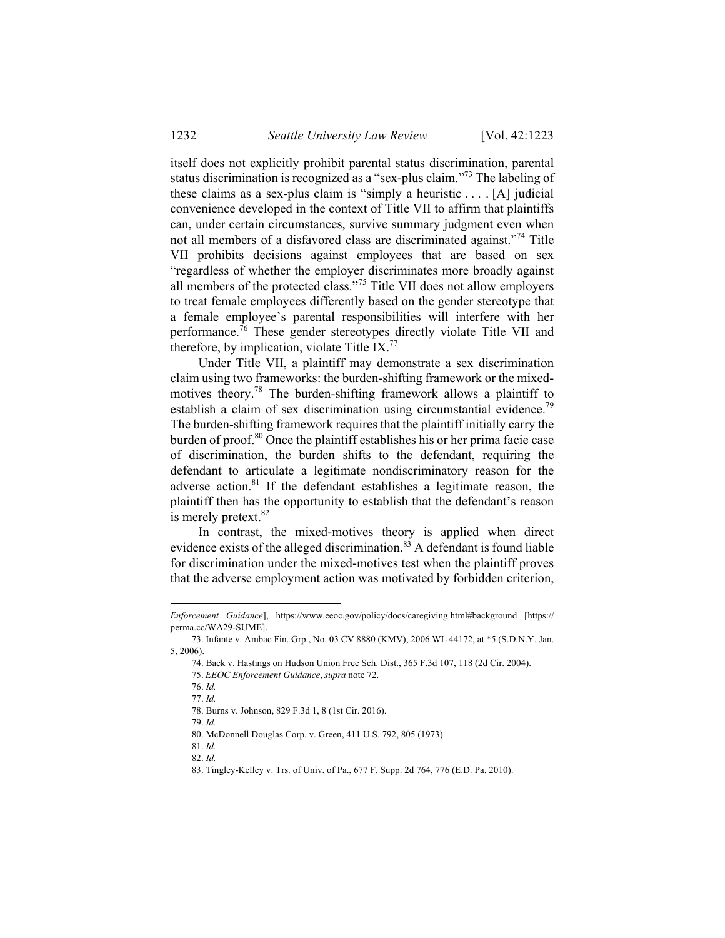itself does not explicitly prohibit parental status discrimination, parental status discrimination is recognized as a "sex-plus claim."73 The labeling of these claims as a sex-plus claim is "simply a heuristic . . . . [A] judicial convenience developed in the context of Title VII to affirm that plaintiffs can, under certain circumstances, survive summary judgment even when not all members of a disfavored class are discriminated against."74 Title VII prohibits decisions against employees that are based on sex "regardless of whether the employer discriminates more broadly against all members of the protected class."75 Title VII does not allow employers to treat female employees differently based on the gender stereotype that a female employee's parental responsibilities will interfere with her performance.76 These gender stereotypes directly violate Title VII and therefore, by implication, violate Title IX.<sup>77</sup>

Under Title VII, a plaintiff may demonstrate a sex discrimination claim using two frameworks: the burden-shifting framework or the mixedmotives theory.78 The burden-shifting framework allows a plaintiff to establish a claim of sex discrimination using circumstantial evidence.<sup>79</sup> The burden-shifting framework requires that the plaintiff initially carry the burden of proof.80 Once the plaintiff establishes his or her prima facie case of discrimination, the burden shifts to the defendant, requiring the defendant to articulate a legitimate nondiscriminatory reason for the adverse action. $81$  If the defendant establishes a legitimate reason, the plaintiff then has the opportunity to establish that the defendant's reason is merely pretext.<sup>82</sup>

In contrast, the mixed-motives theory is applied when direct evidence exists of the alleged discrimination.<sup>83</sup> A defendant is found liable for discrimination under the mixed-motives test when the plaintiff proves that the adverse employment action was motivated by forbidden criterion,

*Enforcement Guidance*], https://www.eeoc.gov/policy/docs/caregiving.html#background [https:// perma.cc/WA29-SUME].

 <sup>73.</sup> Infante v. Ambac Fin. Grp., No. 03 CV 8880 (KMV), 2006 WL 44172, at \*5 (S.D.N.Y. Jan. 5, 2006).

 <sup>74.</sup> Back v. Hastings on Hudson Union Free Sch. Dist., 365 F.3d 107, 118 (2d Cir. 2004).

 <sup>75.</sup> *EEOC Enforcement Guidance*, *supra* note 72.

<sup>76.</sup> *Id.* 77. *Id.*

 <sup>78.</sup> Burns v. Johnson, 829 F.3d 1, 8 (1st Cir. 2016).

<sup>79.</sup> *Id.*

 <sup>80.</sup> McDonnell Douglas Corp. v. Green, 411 U.S. 792, 805 (1973).

<sup>81.</sup> *Id.*

<sup>82.</sup> *Id.*

 <sup>83.</sup> Tingley-Kelley v. Trs. of Univ. of Pa., 677 F. Supp. 2d 764, 776 (E.D. Pa. 2010).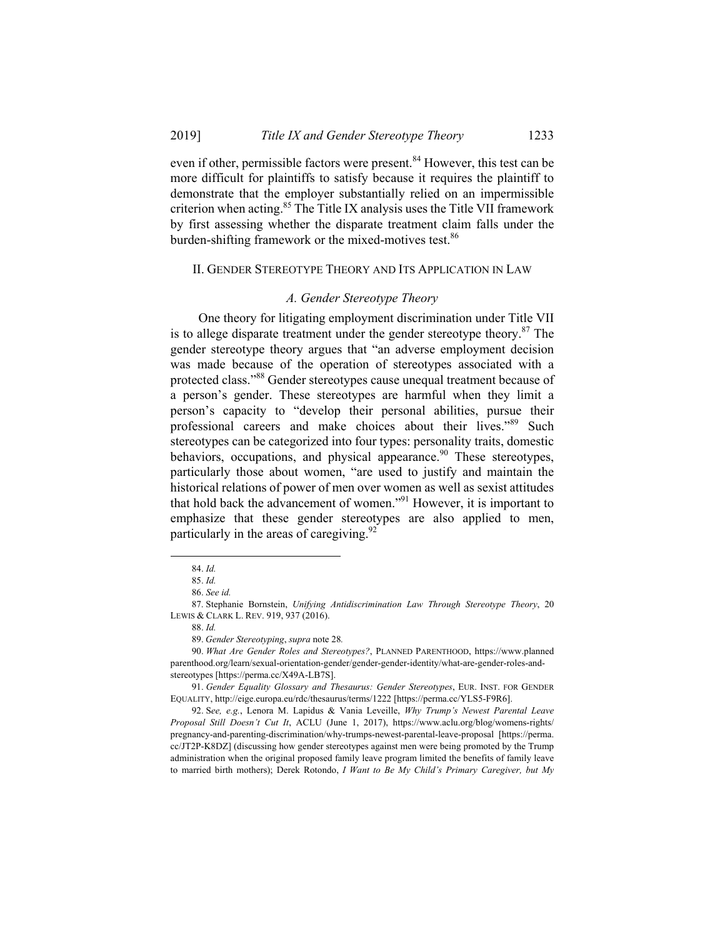even if other, permissible factors were present.<sup>84</sup> However, this test can be more difficult for plaintiffs to satisfy because it requires the plaintiff to demonstrate that the employer substantially relied on an impermissible criterion when acting.<sup>85</sup> The Title IX analysis uses the Title VII framework by first assessing whether the disparate treatment claim falls under the burden-shifting framework or the mixed-motives test.<sup>86</sup>

#### II. GENDER STEREOTYPE THEORY AND ITS APPLICATION IN LAW

#### *A. Gender Stereotype Theory*

One theory for litigating employment discrimination under Title VII is to allege disparate treatment under the gender stereotype theory. $87$  The gender stereotype theory argues that "an adverse employment decision was made because of the operation of stereotypes associated with a protected class."88 Gender stereotypes cause unequal treatment because of a person's gender. These stereotypes are harmful when they limit a person's capacity to "develop their personal abilities, pursue their professional careers and make choices about their lives."89 Such stereotypes can be categorized into four types: personality traits, domestic behaviors, occupations, and physical appearance.<sup>90</sup> These stereotypes, particularly those about women, "are used to justify and maintain the historical relations of power of men over women as well as sexist attitudes that hold back the advancement of women."91 However, it is important to emphasize that these gender stereotypes are also applied to men, particularly in the areas of caregiving. $92$ 

 <sup>84.</sup> *Id.* 85. *Id.*

<sup>86.</sup> *See id.*

 <sup>87.</sup> Stephanie Bornstein, *Unifying Antidiscrimination Law Through Stereotype Theory*, 20 LEWIS & CLARK L. REV. 919, 937 (2016).

<sup>88.</sup> *Id.*

 <sup>89.</sup> *Gender Stereotyping*, *supra* note 28*.*

<sup>90.</sup> *What Are Gender Roles and Stereotypes?*, PLANNED PARENTHOOD, https://www.planned parenthood.org/learn/sexual-orientation-gender/gender-gender-identity/what-are-gender-roles-andstereotypes [https://perma.cc/X49A-LB7S].

<sup>91.</sup> *Gender Equality Glossary and Thesaurus: Gender Stereotypes*, EUR. INST. FOR GENDER EQUALITY, http://eige.europa.eu/rdc/thesaurus/terms/1222 [https://perma.cc/YLS5-F9R6].

 <sup>92.</sup> S*ee, e.g.*, Lenora M. Lapidus & Vania Leveille, *Why Trump's Newest Parental Leave Proposal Still Doesn't Cut It*, ACLU (June 1, 2017), https://www.aclu.org/blog/womens-rights/ pregnancy-and-parenting-discrimination/why-trumps-newest-parental-leave-proposal [https://perma. cc/JT2P-K8DZ] (discussing how gender stereotypes against men were being promoted by the Trump administration when the original proposed family leave program limited the benefits of family leave to married birth mothers); Derek Rotondo, *I Want to Be My Child's Primary Caregiver, but My*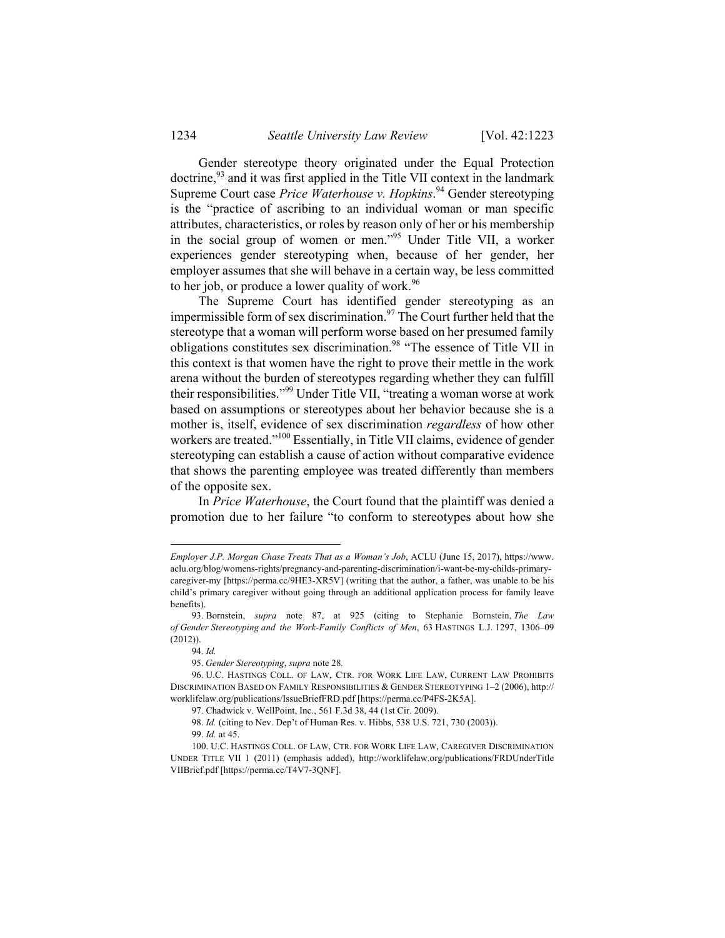Gender stereotype theory originated under the Equal Protection doctrine,<sup>93</sup> and it was first applied in the Title VII context in the landmark Supreme Court case *Price Waterhouse v. Hopkins*. <sup>94</sup> Gender stereotyping is the "practice of ascribing to an individual woman or man specific attributes, characteristics, or roles by reason only of her or his membership in the social group of women or men."95 Under Title VII, a worker experiences gender stereotyping when, because of her gender, her employer assumes that she will behave in a certain way, be less committed to her job, or produce a lower quality of work.<sup>96</sup>

The Supreme Court has identified gender stereotyping as an impermissible form of sex discrimination.<sup>97</sup> The Court further held that the stereotype that a woman will perform worse based on her presumed family obligations constitutes sex discrimination.98 "The essence of Title VII in this context is that women have the right to prove their mettle in the work arena without the burden of stereotypes regarding whether they can fulfill their responsibilities."99 Under Title VII, "treating a woman worse at work based on assumptions or stereotypes about her behavior because she is a mother is, itself, evidence of sex discrimination *regardless* of how other workers are treated."<sup>100</sup> Essentially, in Title VII claims, evidence of gender stereotyping can establish a cause of action without comparative evidence that shows the parenting employee was treated differently than members of the opposite sex.

In *Price Waterhouse*, the Court found that the plaintiff was denied a promotion due to her failure "to conform to stereotypes about how she

-

*Employer J.P. Morgan Chase Treats That as a Woman's Job*, ACLU (June 15, 2017), https://www. aclu.org/blog/womens-rights/pregnancy-and-parenting-discrimination/i-want-be-my-childs-primarycaregiver-my [https://perma.cc/9HE3-XR5V] (writing that the author, a father, was unable to be his child's primary caregiver without going through an additional application process for family leave benefits).

 <sup>93.</sup> Bornstein, *supra* note 87, at 925 (citing to Stephanie Bornstein, *The Law of Gender Stereotyping and the Work-Family Conflicts of Men*, 63 HASTINGS L.J. 1297, 1306–09 (2012)).

<sup>94.</sup> *Id.*

 <sup>95.</sup> *Gender Stereotyping*, *supra* note 28*.*

 <sup>96.</sup> U.C. HASTINGS COLL. OF LAW, CTR. FOR WORK LIFE LAW, CURRENT LAW PROHIBITS DISCRIMINATION BASED ON FAMILY RESPONSIBILITIES & GENDER STEREOTYPING 1–2 (2006), http:// worklifelaw.org/publications/IssueBriefFRD.pdf [https://perma.cc/P4FS-2K5A].

 <sup>97.</sup> Chadwick v. WellPoint, Inc., 561 F.3d 38, 44 (1st Cir. 2009).

<sup>98.</sup> *Id.* (citing to Nev. Dep't of Human Res. v. Hibbs, 538 U.S. 721, 730 (2003)).

<sup>99.</sup> *Id.* at 45.

 <sup>100.</sup> U.C. HASTINGS COLL. OF LAW, CTR. FOR WORK LIFE LAW, CAREGIVER DISCRIMINATION UNDER TITLE VII 1 (2011) (emphasis added), http://worklifelaw.org/publications/FRDUnderTitle VIIBrief.pdf [https://perma.cc/T4V7-3QNF].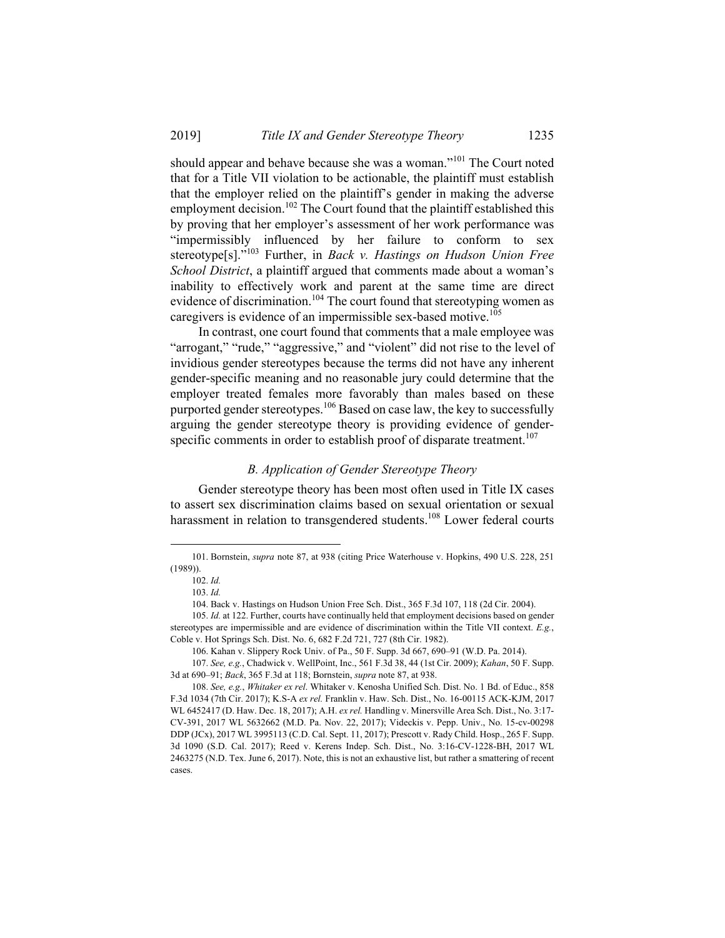should appear and behave because she was a woman."101 The Court noted that for a Title VII violation to be actionable, the plaintiff must establish that the employer relied on the plaintiff's gender in making the adverse employment decision.<sup>102</sup> The Court found that the plaintiff established this by proving that her employer's assessment of her work performance was "impermissibly influenced by her failure to conform to sex stereotype[s]."103 Further, in *Back v. Hastings on Hudson Union Free School District*, a plaintiff argued that comments made about a woman's inability to effectively work and parent at the same time are direct evidence of discrimination.<sup>104</sup> The court found that stereotyping women as caregivers is evidence of an impermissible sex-based motive.<sup>105</sup>

In contrast, one court found that comments that a male employee was "arrogant," "rude," "aggressive," and "violent" did not rise to the level of invidious gender stereotypes because the terms did not have any inherent gender-specific meaning and no reasonable jury could determine that the employer treated females more favorably than males based on these purported gender stereotypes.<sup>106</sup> Based on case law, the key to successfully arguing the gender stereotype theory is providing evidence of genderspecific comments in order to establish proof of disparate treatment.<sup>107</sup>

#### *B. Application of Gender Stereotype Theory*

Gender stereotype theory has been most often used in Title IX cases to assert sex discrimination claims based on sexual orientation or sexual harassment in relation to transgendered students.<sup>108</sup> Lower federal courts

 $\overline{\phantom{a}}$ 

 <sup>101.</sup> Bornstein, *supra* note 87, at 938 (citing Price Waterhouse v. Hopkins, 490 U.S. 228, 251 (1989)).

<sup>102.</sup> *Id.*

<sup>103.</sup> *Id.*

 <sup>104.</sup> Back v. Hastings on Hudson Union Free Sch. Dist., 365 F.3d 107, 118 (2d Cir. 2004).

<sup>105.</sup> *Id.* at 122. Further, courts have continually held that employment decisions based on gender stereotypes are impermissible and are evidence of discrimination within the Title VII context. *E.g.*, Coble v. Hot Springs Sch. Dist. No. 6, 682 F.2d 721, 727 (8th Cir. 1982).

 <sup>106.</sup> Kahan v. Slippery Rock Univ. of Pa., 50 F. Supp. 3d 667, 690–91 (W.D. Pa. 2014).

<sup>107.</sup> *See, e.g.*, Chadwick v. WellPoint, Inc., 561 F.3d 38, 44 (1st Cir. 2009); *Kahan*, 50 F. Supp. 3d at 690–91; *Back*, 365 F.3d at 118; Bornstein, *supra* note 87, at 938.

<sup>108.</sup> *See, e.g.*, *Whitaker ex rel*. Whitaker v. Kenosha Unified Sch. Dist. No. 1 Bd. of Educ., 858 F.3d 1034 (7th Cir. 2017); K.S-A *ex rel.* Franklin v. Haw. Sch. Dist., No. 16-00115 ACK-KJM, 2017 WL 6452417 (D. Haw. Dec. 18, 2017); A.H. *ex rel.* Handling v. Minersville Area Sch. Dist., No. 3:17- CV-391, 2017 WL 5632662 (M.D. Pa. Nov. 22, 2017); Videckis v. Pepp. Univ., No. 15-cv-00298 DDP (JCx), 2017 WL 3995113 (C.D. Cal. Sept. 11, 2017); Prescott v. Rady Child. Hosp., 265 F. Supp. 3d 1090 (S.D. Cal. 2017); Reed v. Kerens Indep. Sch. Dist., No. 3:16-CV-1228-BH, 2017 WL 2463275 (N.D. Tex. June 6, 2017). Note, this is not an exhaustive list, but rather a smattering of recent cases.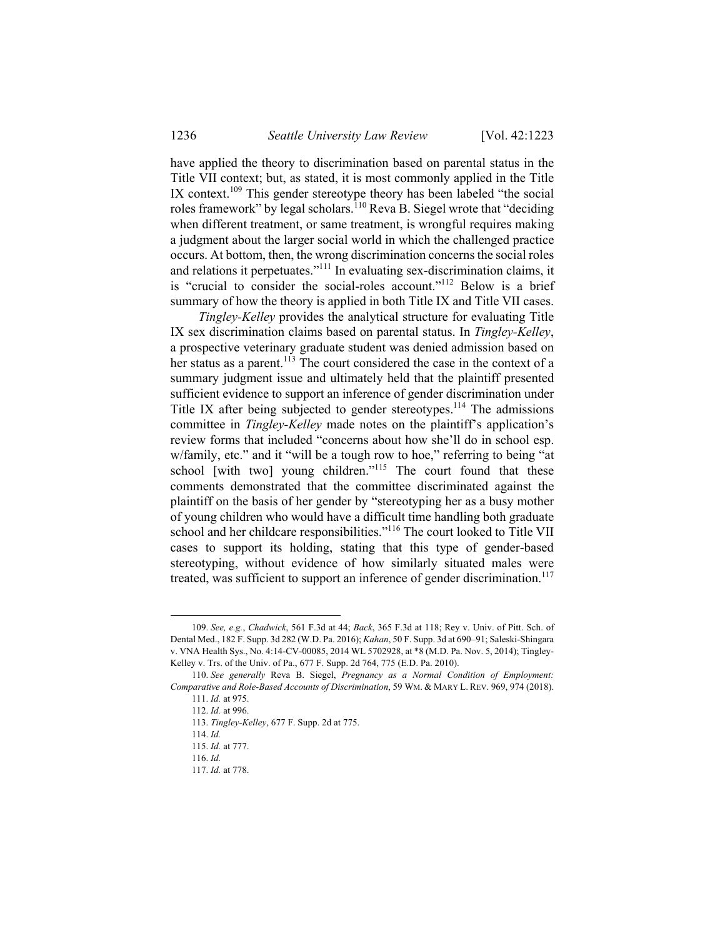have applied the theory to discrimination based on parental status in the Title VII context; but, as stated, it is most commonly applied in the Title IX context.<sup>109</sup> This gender stereotype theory has been labeled "the social roles framework" by legal scholars.<sup>110</sup> Reva B. Siegel wrote that "deciding when different treatment, or same treatment, is wrongful requires making a judgment about the larger social world in which the challenged practice occurs. At bottom, then, the wrong discrimination concerns the social roles and relations it perpetuates."111 In evaluating sex-discrimination claims, it is "crucial to consider the social-roles account."<sup>112</sup> Below is a brief summary of how the theory is applied in both Title IX and Title VII cases.

*Tingley-Kelley* provides the analytical structure for evaluating Title IX sex discrimination claims based on parental status. In *Tingley-Kelley*, a prospective veterinary graduate student was denied admission based on her status as a parent.<sup>113</sup> The court considered the case in the context of a summary judgment issue and ultimately held that the plaintiff presented sufficient evidence to support an inference of gender discrimination under Title IX after being subjected to gender stereotypes.<sup>114</sup> The admissions committee in *Tingley-Kelley* made notes on the plaintiff's application's review forms that included "concerns about how she'll do in school esp. w/family, etc." and it "will be a tough row to hoe," referring to being "at school [with two] young children."<sup>115</sup> The court found that these comments demonstrated that the committee discriminated against the plaintiff on the basis of her gender by "stereotyping her as a busy mother of young children who would have a difficult time handling both graduate school and her childcare responsibilities."<sup>116</sup> The court looked to Title VII cases to support its holding, stating that this type of gender-based stereotyping, without evidence of how similarly situated males were treated, was sufficient to support an inference of gender discrimination.<sup>117</sup>

114. *Id.*

 <sup>109.</sup> *See, e.g.*, *Chadwick*, 561 F.3d at 44; *Back*, 365 F.3d at 118; Rey v. Univ. of Pitt. Sch. of Dental Med., 182 F. Supp. 3d 282 (W.D. Pa. 2016); *Kahan*, 50 F. Supp. 3d at 690–91; Saleski-Shingara v. VNA Health Sys., No. 4:14-CV-00085, 2014 WL 5702928, at \*8 (M.D. Pa. Nov. 5, 2014); Tingley-Kelley v. Trs. of the Univ. of Pa., 677 F. Supp. 2d 764, 775 (E.D. Pa. 2010).

<sup>110.</sup> *See generally* Reva B. Siegel, *Pregnancy as a Normal Condition of Employment: Comparative and Role-Based Accounts of Discrimination*, 59 WM. & MARY L. REV. 969, 974 (2018). 111. *Id.* at 975.

<sup>112.</sup> *Id.* at 996.

<sup>113.</sup> *Tingley-Kelley*, 677 F. Supp. 2d at 775.

<sup>115.</sup> *Id.* at 777.

<sup>116.</sup> *Id.*

<sup>117.</sup> *Id.* at 778.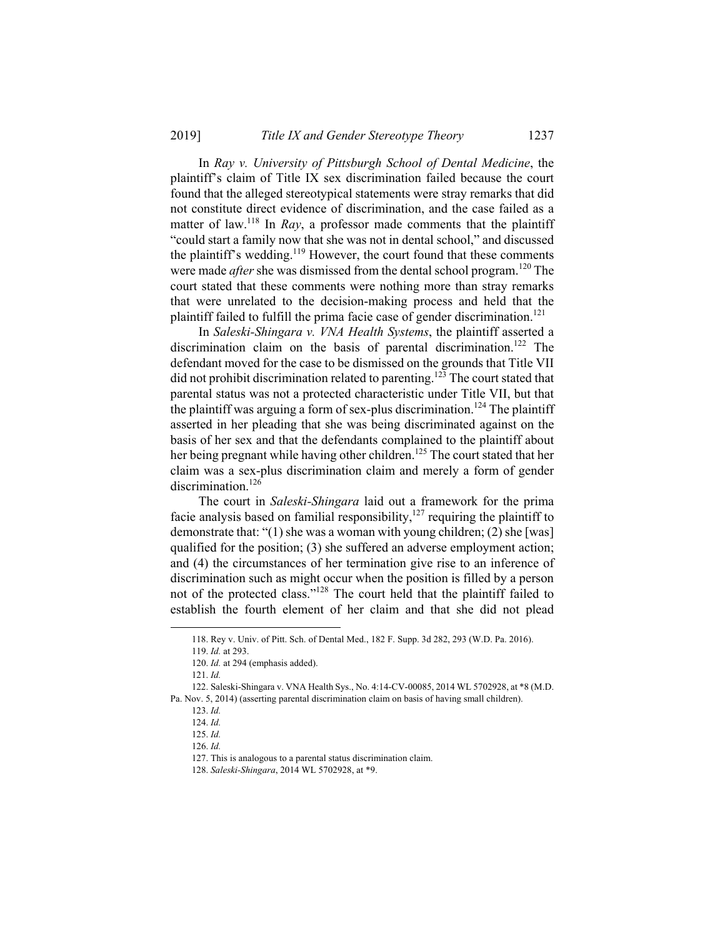In *Ray v. University of Pittsburgh School of Dental Medicine*, the plaintiff's claim of Title IX sex discrimination failed because the court found that the alleged stereotypical statements were stray remarks that did not constitute direct evidence of discrimination, and the case failed as a matter of law.<sup>118</sup> In *Ray*, a professor made comments that the plaintiff "could start a family now that she was not in dental school," and discussed the plaintiff's wedding.<sup>119</sup> However, the court found that these comments were made *after* she was dismissed from the dental school program.<sup>120</sup> The court stated that these comments were nothing more than stray remarks that were unrelated to the decision-making process and held that the plaintiff failed to fulfill the prima facie case of gender discrimination.<sup>121</sup>

In *Saleski-Shingara v. VNA Health Systems*, the plaintiff asserted a discrimination claim on the basis of parental discrimination.<sup>122</sup> The defendant moved for the case to be dismissed on the grounds that Title VII did not prohibit discrimination related to parenting.<sup>123</sup> The court stated that parental status was not a protected characteristic under Title VII, but that the plaintiff was arguing a form of sex-plus discrimination.<sup>124</sup> The plaintiff asserted in her pleading that she was being discriminated against on the basis of her sex and that the defendants complained to the plaintiff about her being pregnant while having other children.<sup>125</sup> The court stated that her claim was a sex-plus discrimination claim and merely a form of gender discrimination.<sup>126</sup>

The court in *Saleski-Shingara* laid out a framework for the prima facie analysis based on familial responsibility, $127$  requiring the plaintiff to demonstrate that: "(1) she was a woman with young children; (2) she [was] qualified for the position; (3) she suffered an adverse employment action; and (4) the circumstances of her termination give rise to an inference of discrimination such as might occur when the position is filled by a person not of the protected class."128 The court held that the plaintiff failed to establish the fourth element of her claim and that she did not plead

 <sup>118.</sup> Rey v. Univ. of Pitt. Sch. of Dental Med., 182 F. Supp. 3d 282, 293 (W.D. Pa. 2016).

<sup>119.</sup> *Id.* at 293.

<sup>120.</sup> *Id.* at 294 (emphasis added).

<sup>121.</sup> *Id.*

 <sup>122.</sup> Saleski-Shingara v. VNA Health Sys., No. 4:14-CV-00085, 2014 WL 5702928, at \*8 (M.D. Pa. Nov. 5, 2014) (asserting parental discrimination claim on basis of having small children).

<sup>123.</sup> *Id.*

<sup>124.</sup> *Id.*

<sup>125.</sup> *Id.*

<sup>126.</sup> *Id.*

 <sup>127.</sup> This is analogous to a parental status discrimination claim.

 <sup>128.</sup> *Saleski-Shingara*, 2014 WL 5702928, at \*9.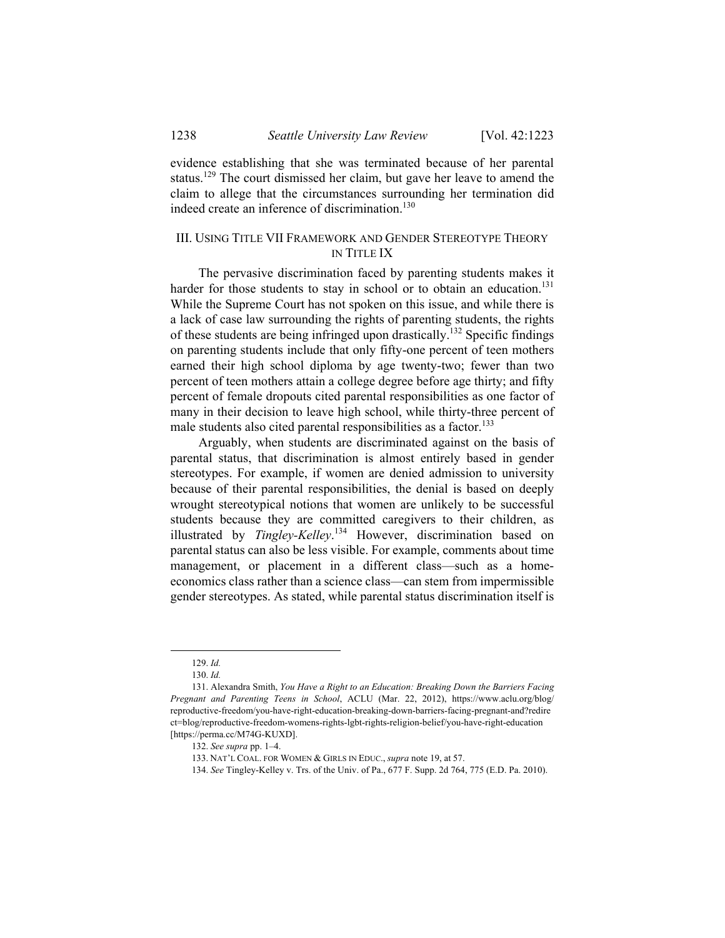evidence establishing that she was terminated because of her parental status.<sup>129</sup> The court dismissed her claim, but gave her leave to amend the claim to allege that the circumstances surrounding her termination did indeed create an inference of discrimination.<sup>130</sup>

# III. USING TITLE VII FRAMEWORK AND GENDER STEREOTYPE THEORY IN TITLE IX

The pervasive discrimination faced by parenting students makes it harder for those students to stay in school or to obtain an education.<sup>131</sup> While the Supreme Court has not spoken on this issue, and while there is a lack of case law surrounding the rights of parenting students, the rights of these students are being infringed upon drastically.132 Specific findings on parenting students include that only fifty-one percent of teen mothers earned their high school diploma by age twenty-two; fewer than two percent of teen mothers attain a college degree before age thirty; and fifty percent of female dropouts cited parental responsibilities as one factor of many in their decision to leave high school, while thirty-three percent of male students also cited parental responsibilities as a factor.<sup>133</sup>

Arguably, when students are discriminated against on the basis of parental status, that discrimination is almost entirely based in gender stereotypes. For example, if women are denied admission to university because of their parental responsibilities, the denial is based on deeply wrought stereotypical notions that women are unlikely to be successful students because they are committed caregivers to their children, as illustrated by *Tingley-Kelley*. <sup>134</sup> However, discrimination based on parental status can also be less visible. For example, comments about time management, or placement in a different class—such as a homeeconomics class rather than a science class—can stem from impermissible gender stereotypes. As stated, while parental status discrimination itself is

 <sup>129.</sup> *Id.*

<sup>130.</sup> *Id.*

 <sup>131.</sup> Alexandra Smith, *You Have a Right to an Education: Breaking Down the Barriers Facing Pregnant and Parenting Teens in School*, ACLU (Mar. 22, 2012), https://www.aclu.org/blog/ reproductive-freedom/you-have-right-education-breaking-down-barriers-facing-pregnant-and?redire ct=blog/reproductive-freedom-womens-rights-lgbt-rights-religion-belief/you-have-right-education [https://perma.cc/M74G-KUXD].

<sup>132.</sup> *See supra* pp. 1–4.

 <sup>133.</sup> NAT'L COAL. FOR WOMEN & GIRLS IN EDUC., *supra* note 19, at 57.

<sup>134.</sup> *See* Tingley-Kelley v. Trs. of the Univ. of Pa., 677 F. Supp. 2d 764, 775 (E.D. Pa. 2010).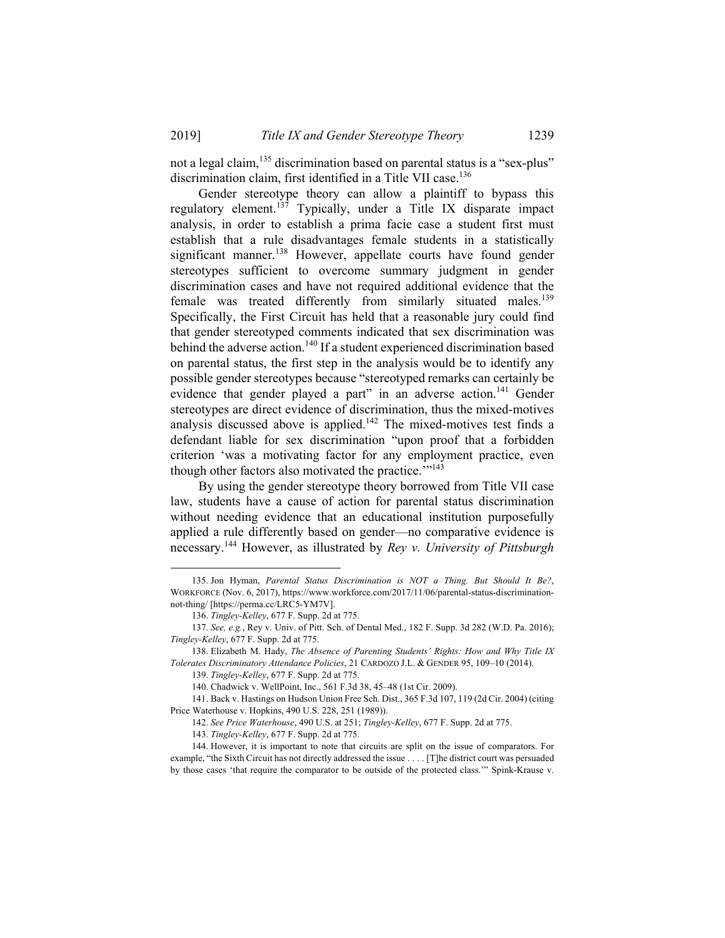not a legal claim,<sup>135</sup> discrimination based on parental status is a "sex-plus" discrimination claim, first identified in a Title VII case.<sup>136</sup>

Gender stereotype theory can allow a plaintiff to bypass this regulatory element.137 Typically, under a Title IX disparate impact analysis, in order to establish a prima facie case a student first must establish that a rule disadvantages female students in a statistically significant manner.<sup>138</sup> However, appellate courts have found gender stereotypes sufficient to overcome summary judgment in gender discrimination cases and have not required additional evidence that the female was treated differently from similarly situated males.<sup>139</sup> Specifically, the First Circuit has held that a reasonable jury could find that gender stereotyped comments indicated that sex discrimination was behind the adverse action.<sup>140</sup> If a student experienced discrimination based on parental status, the first step in the analysis would be to identify any possible gender stereotypes because "stereotyped remarks can certainly be evidence that gender played a part" in an adverse action.<sup>141</sup> Gender stereotypes are direct evidence of discrimination, thus the mixed-motives analysis discussed above is applied.<sup>142</sup> The mixed-motives test finds a defendant liable for sex discrimination "upon proof that a forbidden criterion 'was a motivating factor for any employment practice, even though other factors also motivated the practice."<sup>143</sup>

By using the gender stereotype theory borrowed from Title VII case law, students have a cause of action for parental status discrimination without needing evidence that an educational institution purposefully applied a rule differently based on gender—no comparative evidence is necessary.144 However, as illustrated by *Rey v. University of Pittsburgh* 

 <sup>135.</sup> Jon Hyman, *Parental Status Discrimination is NOT a Thing. But Should It Be?*, WORKFORCE (Nov. 6, 2017), https://www.workforce.com/2017/11/06/parental-status-discriminationnot-thing/ [https://perma.cc/LRC5-YM7V].

<sup>136.</sup> *Tingley-Kelley*, 677 F. Supp. 2d at 775.

<sup>137.</sup> *See, e.g.*, Rey v. Univ. of Pitt. Sch. of Dental Med., 182 F. Supp. 3d 282 (W.D. Pa. 2016); *Tingley-Kelley*, 677 F. Supp. 2d at 775.

 <sup>138.</sup> Elizabeth M. Hady, *The Absence of Parenting Students' Rights: How and Why Title IX Tolerates Discriminatory Attendance Policies*, 21 CARDOZO J.L. & GENDER 95, 109–10 (2014).

<sup>139.</sup> *Tingley-Kelley*, 677 F. Supp. 2d at 775.

 <sup>140.</sup> Chadwick v. WellPoint, Inc., 561 F.3d 38, 45–48 (1st Cir. 2009).

 <sup>141.</sup> Back v. Hastings on Hudson Union Free Sch. Dist., 365 F.3d 107, 119 (2d Cir. 2004) (citing Price Waterhouse v. Hopkins, 490 U.S. 228, 251 (1989)).

<sup>142.</sup> *See Price Waterhouse*, 490 U.S. at 251; *Tingley-Kelley*, 677 F. Supp. 2d at 775.

<sup>143.</sup> *Tingley-Kelley*, 677 F. Supp. 2d at 775.

 <sup>144.</sup> However, it is important to note that circuits are split on the issue of comparators. For example, "the Sixth Circuit has not directly addressed the issue . . . . [T]he district court was persuaded by those cases 'that require the comparator to be outside of the protected class.'" Spink-Krause v.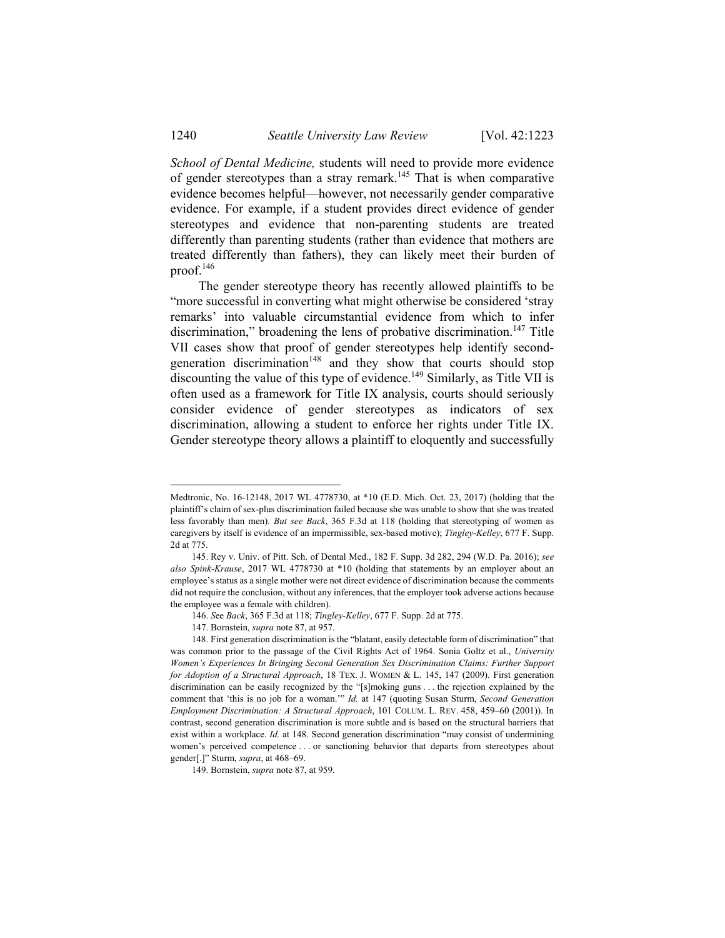*School of Dental Medicine,* students will need to provide more evidence of gender stereotypes than a stray remark.145 That is when comparative evidence becomes helpful—however, not necessarily gender comparative evidence. For example, if a student provides direct evidence of gender stereotypes and evidence that non-parenting students are treated differently than parenting students (rather than evidence that mothers are treated differently than fathers), they can likely meet their burden of proof. $146$ 

The gender stereotype theory has recently allowed plaintiffs to be "more successful in converting what might otherwise be considered 'stray remarks' into valuable circumstantial evidence from which to infer discrimination," broadening the lens of probative discrimination.<sup>147</sup> Title VII cases show that proof of gender stereotypes help identify secondgeneration discrimination<sup>148</sup> and they show that courts should stop discounting the value of this type of evidence.<sup>149</sup> Similarly, as Title VII is often used as a framework for Title IX analysis, courts should seriously consider evidence of gender stereotypes as indicators of sex discrimination, allowing a student to enforce her rights under Title IX. Gender stereotype theory allows a plaintiff to eloquently and successfully

Medtronic, No. 16-12148, 2017 WL 4778730, at \*10 (E.D. Mich. Oct. 23, 2017) (holding that the plaintiff's claim of sex-plus discrimination failed because she was unable to show that she was treated less favorably than men). *But see Back*, 365 F.3d at 118 (holding that stereotyping of women as caregivers by itself is evidence of an impermissible, sex-based motive); *Tingley-Kelley*, 677 F. Supp. 2d at 775.

 <sup>145.</sup> Rey v. Univ. of Pitt. Sch. of Dental Med., 182 F. Supp. 3d 282, 294 (W.D. Pa. 2016); *see also Spink-Krause*, 2017 WL 4778730 at \*10 (holding that statements by an employer about an employee's status as a single mother were not direct evidence of discrimination because the comments did not require the conclusion, without any inferences, that the employer took adverse actions because the employee was a female with children).

<sup>146.</sup> *S*ee *Back*, 365 F.3d at 118; *Tingley-Kelley*, 677 F. Supp. 2d at 775.

 <sup>147.</sup> Bornstein, *supra* note 87, at 957.

 <sup>148.</sup> First generation discrimination is the "blatant, easily detectable form of discrimination" that was common prior to the passage of the Civil Rights Act of 1964. Sonia Goltz et al., *University Women's Experiences In Bringing Second Generation Sex Discrimination Claims: Further Support for Adoption of a Structural Approach*, 18 TEX. J. WOMEN & L. 145, 147 (2009). First generation discrimination can be easily recognized by the "[s]moking guns . . . the rejection explained by the comment that 'this is no job for a woman.'" *Id.* at 147 (quoting Susan Sturm, *Second Generation Employment Discrimination: A Structural Approach*, 101 COLUM. L. REV. 458, 459–60 (2001)). In contrast, second generation discrimination is more subtle and is based on the structural barriers that exist within a workplace. *Id.* at 148. Second generation discrimination "may consist of undermining women's perceived competence . . . or sanctioning behavior that departs from stereotypes about gender[.]" Sturm, *supra*, at 468–69.

 <sup>149.</sup> Bornstein, *supra* note 87, at 959.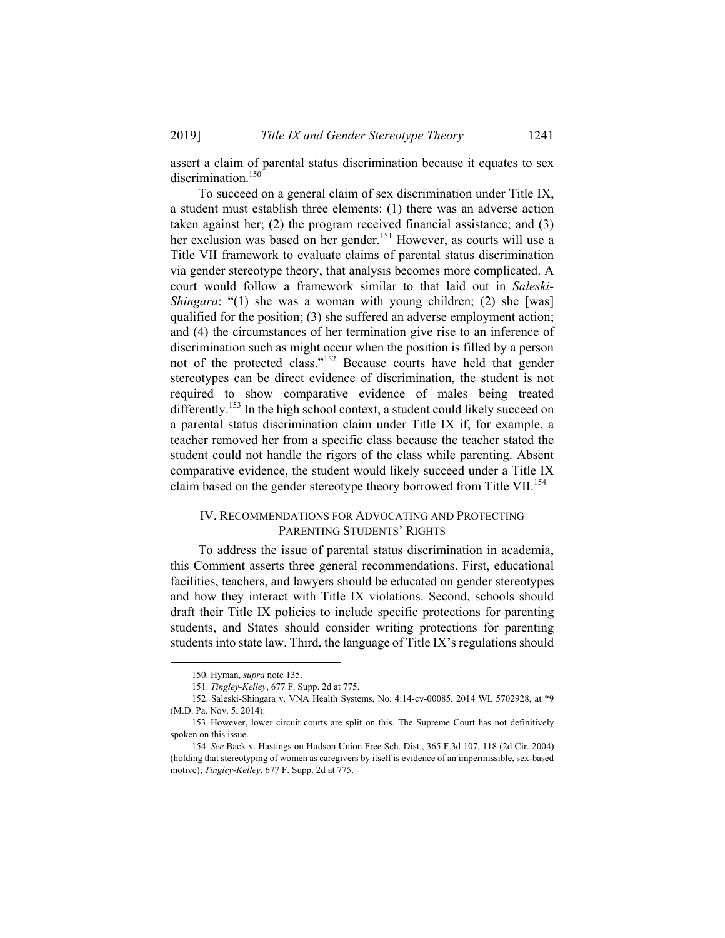assert a claim of parental status discrimination because it equates to sex discrimination.<sup>150</sup>

To succeed on a general claim of sex discrimination under Title IX, a student must establish three elements: (1) there was an adverse action taken against her; (2) the program received financial assistance; and (3) her exclusion was based on her gender.<sup>151</sup> However, as courts will use a Title VII framework to evaluate claims of parental status discrimination via gender stereotype theory, that analysis becomes more complicated. A court would follow a framework similar to that laid out in *Saleski-Shingara*: "(1) she was a woman with young children; (2) she [was] qualified for the position; (3) she suffered an adverse employment action; and (4) the circumstances of her termination give rise to an inference of discrimination such as might occur when the position is filled by a person not of the protected class."152 Because courts have held that gender stereotypes can be direct evidence of discrimination, the student is not required to show comparative evidence of males being treated differently.<sup>153</sup> In the high school context, a student could likely succeed on a parental status discrimination claim under Title IX if, for example, a teacher removed her from a specific class because the teacher stated the student could not handle the rigors of the class while parenting. Absent comparative evidence, the student would likely succeed under a Title IX claim based on the gender stereotype theory borrowed from Title VII.<sup>154</sup>

## IV. RECOMMENDATIONS FOR ADVOCATING AND PROTECTING PARENTING STUDENTS' RIGHTS

To address the issue of parental status discrimination in academia, this Comment asserts three general recommendations. First, educational facilities, teachers, and lawyers should be educated on gender stereotypes and how they interact with Title IX violations. Second, schools should draft their Title IX policies to include specific protections for parenting students, and States should consider writing protections for parenting students into state law. Third, the language of Title IX's regulations should

 <sup>150.</sup> Hyman, *supra* note 135.

 <sup>151.</sup> *Tingley-Kelley*, 677 F. Supp. 2d at 775.

 <sup>152.</sup> Saleski-Shingara v. VNA Health Systems, No. 4:14-cv-00085, 2014 WL 5702928, at \*9 (M.D. Pa. Nov. 5, 2014).

 <sup>153.</sup> However, lower circuit courts are split on this. The Supreme Court has not definitively spoken on this issue.

<sup>154.</sup> *See* Back v. Hastings on Hudson Union Free Sch. Dist., 365 F.3d 107, 118 (2d Cir. 2004) (holding that stereotyping of women as caregivers by itself is evidence of an impermissible, sex-based motive); *Tingley-Kelley*, 677 F. Supp. 2d at 775.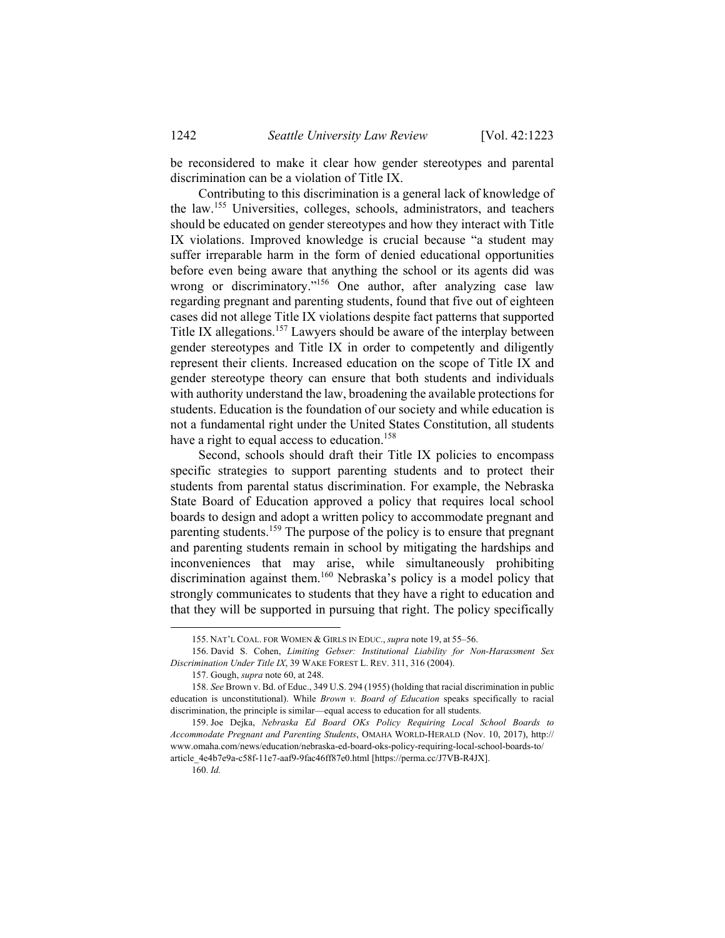be reconsidered to make it clear how gender stereotypes and parental discrimination can be a violation of Title IX.

Contributing to this discrimination is a general lack of knowledge of the law.155 Universities, colleges, schools, administrators, and teachers should be educated on gender stereotypes and how they interact with Title IX violations. Improved knowledge is crucial because "a student may suffer irreparable harm in the form of denied educational opportunities before even being aware that anything the school or its agents did was wrong or discriminatory."<sup>156</sup> One author, after analyzing case law regarding pregnant and parenting students, found that five out of eighteen cases did not allege Title IX violations despite fact patterns that supported Title IX allegations.157 Lawyers should be aware of the interplay between gender stereotypes and Title IX in order to competently and diligently represent their clients. Increased education on the scope of Title IX and gender stereotype theory can ensure that both students and individuals with authority understand the law, broadening the available protections for students. Education is the foundation of our society and while education is not a fundamental right under the United States Constitution, all students have a right to equal access to education.<sup>158</sup>

Second, schools should draft their Title IX policies to encompass specific strategies to support parenting students and to protect their students from parental status discrimination. For example, the Nebraska State Board of Education approved a policy that requires local school boards to design and adopt a written policy to accommodate pregnant and parenting students.<sup>159</sup> The purpose of the policy is to ensure that pregnant and parenting students remain in school by mitigating the hardships and inconveniences that may arise, while simultaneously prohibiting discrimination against them.<sup>160</sup> Nebraska's policy is a model policy that strongly communicates to students that they have a right to education and that they will be supported in pursuing that right. The policy specifically

160. *Id.*

 <sup>155.</sup> NAT'L COAL. FOR WOMEN & GIRLS IN EDUC., *supra* note 19, at 55–56.

 <sup>156.</sup> David S. Cohen, *Limiting Gebser: Institutional Liability for Non-Harassment Sex Discrimination Under Title IX*, 39 WAKE FOREST L. REV. 311, 316 (2004).

 <sup>157.</sup> Gough, *supra* note 60, at 248.

<sup>158.</sup> *See* Brown v. Bd. of Educ., 349 U.S. 294 (1955) (holding that racial discrimination in public education is unconstitutional). While *Brown v. Board of Education* speaks specifically to racial discrimination, the principle is similar—equal access to education for all students.

 <sup>159.</sup> Joe Dejka, *Nebraska Ed Board OKs Policy Requiring Local School Boards to Accommodate Pregnant and Parenting Students*, OMAHA WORLD-HERALD (Nov. 10, 2017), http:// www.omaha.com/news/education/nebraska-ed-board-oks-policy-requiring-local-school-boards-to/ article\_4e4b7e9a-c58f-11e7-aaf9-9fac46ff87e0.html [https://perma.cc/J7VB-R4JX].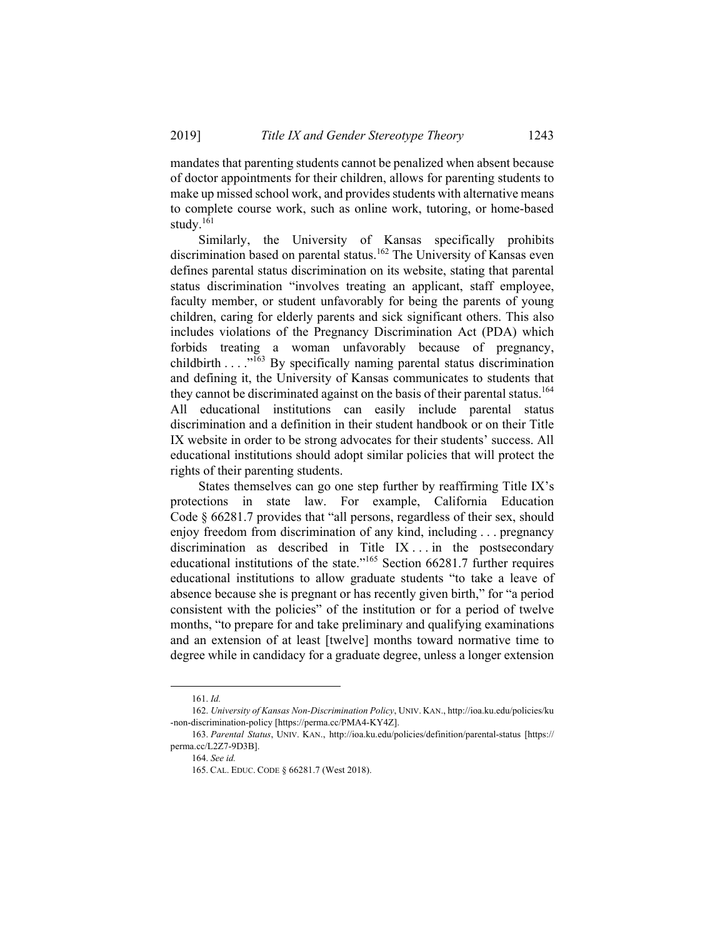mandates that parenting students cannot be penalized when absent because of doctor appointments for their children, allows for parenting students to make up missed school work, and provides students with alternative means to complete course work, such as online work, tutoring, or home-based study.161

Similarly, the University of Kansas specifically prohibits discrimination based on parental status.<sup>162</sup> The University of Kansas even defines parental status discrimination on its website, stating that parental status discrimination "involves treating an applicant, staff employee, faculty member, or student unfavorably for being the parents of young children, caring for elderly parents and sick significant others. This also includes violations of the Pregnancy Discrimination Act (PDA) which forbids treating a woman unfavorably because of pregnancy, childbirth . . . . <sup>7163</sup> By specifically naming parental status discrimination and defining it, the University of Kansas communicates to students that they cannot be discriminated against on the basis of their parental status.<sup>164</sup> All educational institutions can easily include parental status discrimination and a definition in their student handbook or on their Title IX website in order to be strong advocates for their students' success. All educational institutions should adopt similar policies that will protect the rights of their parenting students.

States themselves can go one step further by reaffirming Title IX's protections in state law. For example, California Education Code § 66281.7 provides that "all persons, regardless of their sex, should enjoy freedom from discrimination of any kind, including . . . pregnancy discrimination as described in Title IX . . . in the postsecondary educational institutions of the state."165 Section 66281.7 further requires educational institutions to allow graduate students "to take a leave of absence because she is pregnant or has recently given birth," for "a period consistent with the policies" of the institution or for a period of twelve months, "to prepare for and take preliminary and qualifying examinations and an extension of at least [twelve] months toward normative time to degree while in candidacy for a graduate degree, unless a longer extension

 <sup>161.</sup> *Id.* 

<sup>162.</sup> *University of Kansas Non-Discrimination Policy*, UNIV. KAN., http://ioa.ku.edu/policies/ku -non-discrimination-policy [https://perma.cc/PMA4-KY4Z].

<sup>163.</sup> *Parental Status*, UNIV. KAN., http://ioa.ku.edu/policies/definition/parental-status [https:// perma.cc/L2Z7-9D3B].

<sup>164.</sup> *See id.*

 <sup>165.</sup> CAL. EDUC. CODE § 66281.7 (West 2018).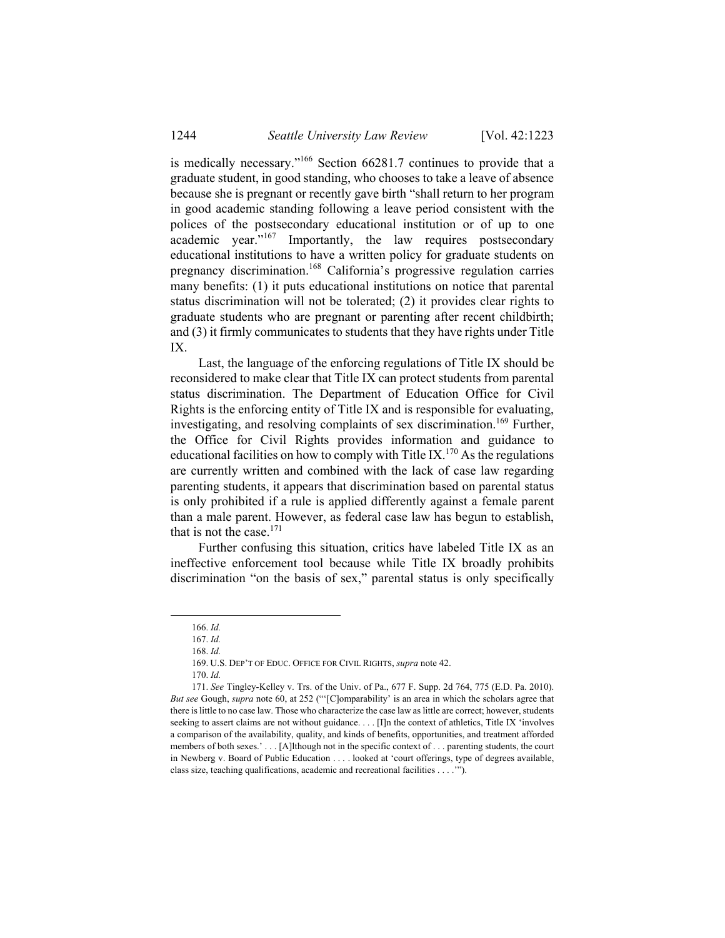is medically necessary."166 Section 66281.7 continues to provide that a graduate student, in good standing, who chooses to take a leave of absence because she is pregnant or recently gave birth "shall return to her program in good academic standing following a leave period consistent with the polices of the postsecondary educational institution or of up to one academic year."<sup>167</sup> Importantly, the law requires postsecondary educational institutions to have a written policy for graduate students on pregnancy discrimination.168 California's progressive regulation carries many benefits: (1) it puts educational institutions on notice that parental status discrimination will not be tolerated; (2) it provides clear rights to graduate students who are pregnant or parenting after recent childbirth; and (3) it firmly communicates to students that they have rights under Title IX.

Last, the language of the enforcing regulations of Title IX should be reconsidered to make clear that Title IX can protect students from parental status discrimination. The Department of Education Office for Civil Rights is the enforcing entity of Title IX and is responsible for evaluating, investigating, and resolving complaints of sex discrimination.<sup>169</sup> Further, the Office for Civil Rights provides information and guidance to educational facilities on how to comply with Title IX.<sup>170</sup> As the regulations are currently written and combined with the lack of case law regarding parenting students, it appears that discrimination based on parental status is only prohibited if a rule is applied differently against a female parent than a male parent. However, as federal case law has begun to establish, that is not the case. $171$ 

Further confusing this situation, critics have labeled Title IX as an ineffective enforcement tool because while Title IX broadly prohibits discrimination "on the basis of sex," parental status is only specifically

169. U.S. DEP'T OF EDUC. OFFICE FOR CIVIL RIGHTS, *supra* note 42.

 <sup>166.</sup> *Id.*

<sup>167.</sup> *Id.*

<sup>168.</sup> *Id.*

<sup>170.</sup> *Id.*

<sup>171.</sup> *See* Tingley-Kelley v. Trs. of the Univ. of Pa., 677 F. Supp. 2d 764, 775 (E.D. Pa. 2010). *But see* Gough, *supra* note 60, at 252 ("'[C]omparability' is an area in which the scholars agree that there is little to no case law. Those who characterize the case law as little are correct; however, students seeking to assert claims are not without guidance. . . . [I]n the context of athletics, Title IX 'involves a comparison of the availability, quality, and kinds of benefits, opportunities, and treatment afforded members of both sexes.' . . . [A]lthough not in the specific context of . . . parenting students, the court in Newberg v. Board of Public Education . . . . looked at 'court offerings, type of degrees available, class size, teaching qualifications, academic and recreational facilities . . . .'").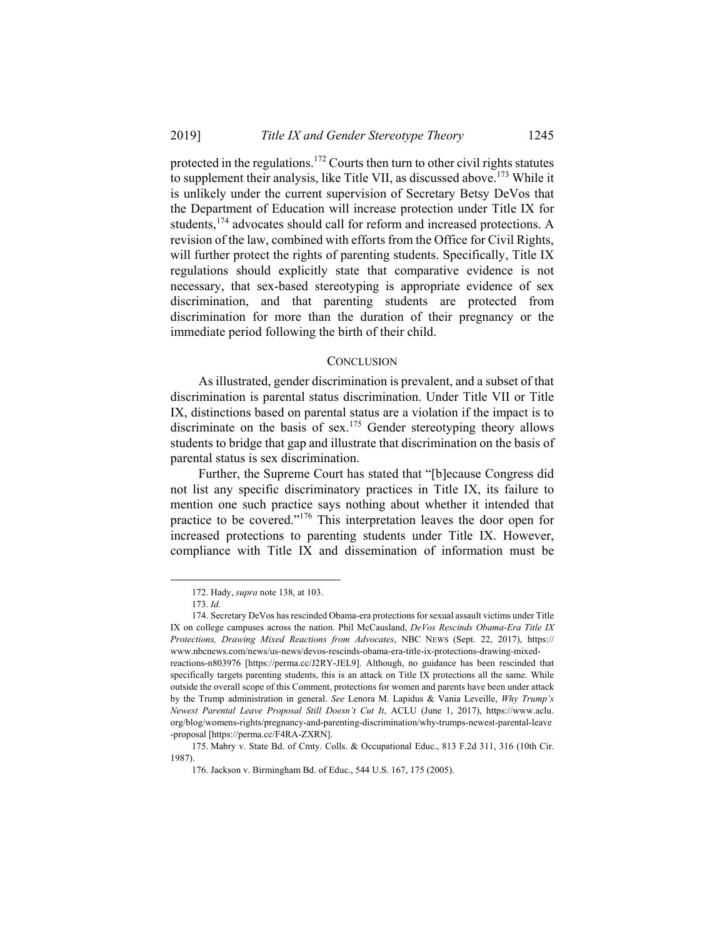protected in the regulations.172 Courts then turn to other civil rights statutes to supplement their analysis, like Title VII, as discussed above.<sup>173</sup> While it is unlikely under the current supervision of Secretary Betsy DeVos that the Department of Education will increase protection under Title IX for students,<sup>174</sup> advocates should call for reform and increased protections. A revision of the law, combined with efforts from the Office for Civil Rights, will further protect the rights of parenting students. Specifically, Title IX regulations should explicitly state that comparative evidence is not necessary, that sex-based stereotyping is appropriate evidence of sex discrimination, and that parenting students are protected from discrimination for more than the duration of their pregnancy or the immediate period following the birth of their child.

#### **CONCLUSION**

As illustrated, gender discrimination is prevalent, and a subset of that discrimination is parental status discrimination. Under Title VII or Title IX, distinctions based on parental status are a violation if the impact is to discriminate on the basis of sex.<sup>175</sup> Gender stereotyping theory allows students to bridge that gap and illustrate that discrimination on the basis of parental status is sex discrimination.

Further, the Supreme Court has stated that "[b]ecause Congress did not list any specific discriminatory practices in Title IX, its failure to mention one such practice says nothing about whether it intended that practice to be covered."176 This interpretation leaves the door open for increased protections to parenting students under Title IX. However, compliance with Title IX and dissemination of information must be

 $\overline{\phantom{a}}$ 

 <sup>172.</sup> Hady, *supra* note 138, at 103.

<sup>173.</sup> *Id.*

 <sup>174.</sup> Secretary DeVos has rescinded Obama-era protections for sexual assault victims under Title IX on college campuses across the nation. Phil McCausland, *DeVos Rescinds Obama-Era Title IX Protections, Drawing Mixed Reactions from Advocates*, NBC NEWS (Sept. 22, 2017), https:// www.nbcnews.com/news/us-news/devos-rescinds-obama-era-title-ix-protections-drawing-mixed-

reactions-n803976 [https://perma.cc/J2RY-JEL9]. Although, no guidance has been rescinded that specifically targets parenting students, this is an attack on Title IX protections all the same. While outside the overall scope of this Comment, protections for women and parents have been under attack by the Trump administration in general. *See* Lenora M. Lapidus & Vania Leveille, *Why Trump's Newest Parental Leave Proposal Still Doesn't Cut It*, ACLU (June 1, 2017), https://www.aclu. org/blog/womens-rights/pregnancy-and-parenting-discrimination/why-trumps-newest-parental-leave -proposal [https://perma.cc/F4RA-ZXRN].

 <sup>175.</sup> Mabry v. State Bd. of Cmty. Colls. & Occupational Educ., 813 F.2d 311, 316 (10th Cir. 1987).

 <sup>176.</sup> Jackson v. Birmingham Bd. of Educ., 544 U.S. 167, 175 (2005).